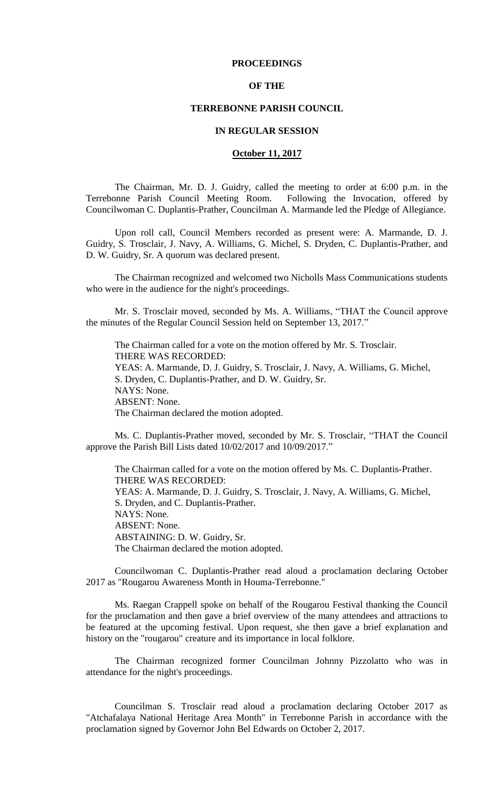## **PROCEEDINGS**

## **OF THE**

# **TERREBONNE PARISH COUNCIL**

### **IN REGULAR SESSION**

### **October 11, 2017**

The Chairman, Mr. D. J. Guidry, called the meeting to order at 6:00 p.m. in the Terrebonne Parish Council Meeting Room. Following the Invocation, offered by Councilwoman C. Duplantis-Prather, Councilman A. Marmande led the Pledge of Allegiance.

Upon roll call, Council Members recorded as present were: A. Marmande, D. J. Guidry, S. Trosclair, J. Navy, A. Williams, G. Michel, S. Dryden, C. Duplantis-Prather, and D. W. Guidry, Sr. A quorum was declared present.

The Chairman recognized and welcomed two Nicholls Mass Communications students who were in the audience for the night's proceedings.

Mr. S. Trosclair moved, seconded by Ms. A. Williams, "THAT the Council approve the minutes of the Regular Council Session held on September 13, 2017."

The Chairman called for a vote on the motion offered by Mr. S. Trosclair. THERE WAS RECORDED: YEAS: A. Marmande, D. J. Guidry, S. Trosclair, J. Navy, A. Williams, G. Michel, S. Dryden, C. Duplantis-Prather, and D. W. Guidry, Sr. NAYS: None. ABSENT: None. The Chairman declared the motion adopted.

Ms. C. Duplantis-Prather moved, seconded by Mr. S. Trosclair, "THAT the Council approve the Parish Bill Lists dated 10/02/2017 and 10/09/2017."

The Chairman called for a vote on the motion offered by Ms. C. Duplantis-Prather. THERE WAS RECORDED: YEAS: A. Marmande, D. J. Guidry, S. Trosclair, J. Navy, A. Williams, G. Michel, S. Dryden, and C. Duplantis-Prather. NAYS: None. ABSENT: None. ABSTAINING: D. W. Guidry, Sr. The Chairman declared the motion adopted.

Councilwoman C. Duplantis-Prather read aloud a proclamation declaring October 2017 as "Rougarou Awareness Month in Houma-Terrebonne."

Ms. Raegan Crappell spoke on behalf of the Rougarou Festival thanking the Council for the proclamation and then gave a brief overview of the many attendees and attractions to be featured at the upcoming festival. Upon request, she then gave a brief explanation and history on the "rougarou" creature and its importance in local folklore.

The Chairman recognized former Councilman Johnny Pizzolatto who was in attendance for the night's proceedings.

Councilman S. Trosclair read aloud a proclamation declaring October 2017 as "Atchafalaya National Heritage Area Month" in Terrebonne Parish in accordance with the proclamation signed by Governor John Bel Edwards on October 2, 2017.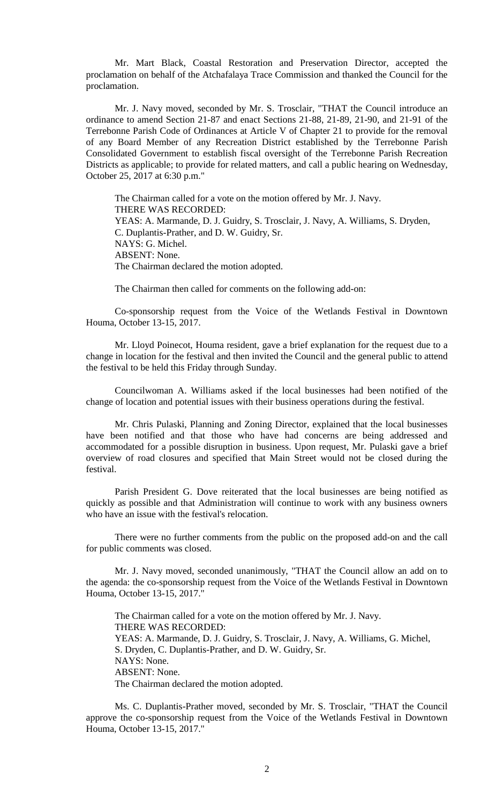Mr. Mart Black, Coastal Restoration and Preservation Director, accepted the proclamation on behalf of the Atchafalaya Trace Commission and thanked the Council for the proclamation.

Mr. J. Navy moved, seconded by Mr. S. Trosclair, "THAT the Council introduce an ordinance to amend Section 21-87 and enact Sections 21-88, 21-89, 21-90, and 21-91 of the Terrebonne Parish Code of Ordinances at Article V of Chapter 21 to provide for the removal of any Board Member of any Recreation District established by the Terrebonne Parish Consolidated Government to establish fiscal oversight of the Terrebonne Parish Recreation Districts as applicable; to provide for related matters, and call a public hearing on Wednesday, October 25, 2017 at 6:30 p.m."

The Chairman called for a vote on the motion offered by Mr. J. Navy. THERE WAS RECORDED: YEAS: A. Marmande, D. J. Guidry, S. Trosclair, J. Navy, A. Williams, S. Dryden, C. Duplantis-Prather, and D. W. Guidry, Sr. NAYS: G. Michel. ABSENT: None. The Chairman declared the motion adopted.

The Chairman then called for comments on the following add-on:

Co-sponsorship request from the Voice of the Wetlands Festival in Downtown Houma, October 13-15, 2017.

Mr. Lloyd Poinecot, Houma resident, gave a brief explanation for the request due to a change in location for the festival and then invited the Council and the general public to attend the festival to be held this Friday through Sunday.

Councilwoman A. Williams asked if the local businesses had been notified of the change of location and potential issues with their business operations during the festival.

Mr. Chris Pulaski, Planning and Zoning Director, explained that the local businesses have been notified and that those who have had concerns are being addressed and accommodated for a possible disruption in business. Upon request, Mr. Pulaski gave a brief overview of road closures and specified that Main Street would not be closed during the festival.

Parish President G. Dove reiterated that the local businesses are being notified as quickly as possible and that Administration will continue to work with any business owners who have an issue with the festival's relocation.

There were no further comments from the public on the proposed add-on and the call for public comments was closed.

Mr. J. Navy moved, seconded unanimously, "THAT the Council allow an add on to the agenda: the co-sponsorship request from the Voice of the Wetlands Festival in Downtown Houma, October 13-15, 2017."

The Chairman called for a vote on the motion offered by Mr. J. Navy. THERE WAS RECORDED: YEAS: A. Marmande, D. J. Guidry, S. Trosclair, J. Navy, A. Williams, G. Michel, S. Dryden, C. Duplantis-Prather, and D. W. Guidry, Sr. NAYS: None. ABSENT: None. The Chairman declared the motion adopted.

Ms. C. Duplantis-Prather moved, seconded by Mr. S. Trosclair, "THAT the Council approve the co-sponsorship request from the Voice of the Wetlands Festival in Downtown Houma, October 13-15, 2017."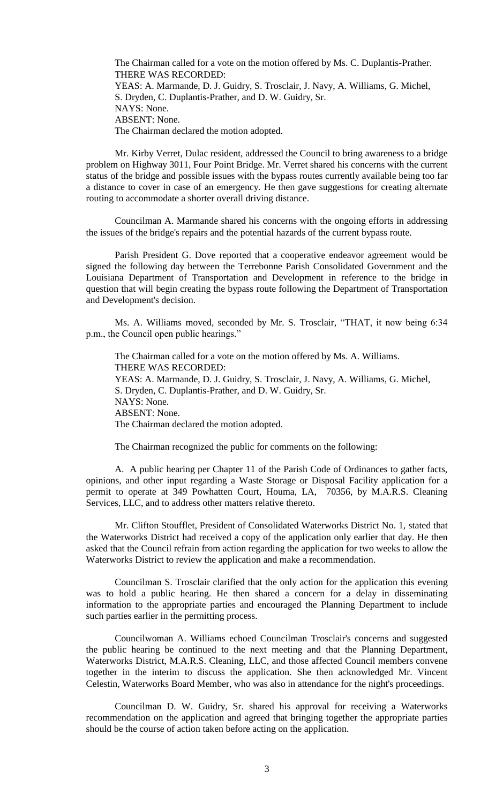The Chairman called for a vote on the motion offered by Ms. C. Duplantis-Prather. THERE WAS RECORDED: YEAS: A. Marmande, D. J. Guidry, S. Trosclair, J. Navy, A. Williams, G. Michel, S. Dryden, C. Duplantis-Prather, and D. W. Guidry, Sr. NAYS: None. ABSENT: None. The Chairman declared the motion adopted.

Mr. Kirby Verret, Dulac resident, addressed the Council to bring awareness to a bridge problem on Highway 3011, Four Point Bridge. Mr. Verret shared his concerns with the current status of the bridge and possible issues with the bypass routes currently available being too far a distance to cover in case of an emergency. He then gave suggestions for creating alternate routing to accommodate a shorter overall driving distance.

Councilman A. Marmande shared his concerns with the ongoing efforts in addressing the issues of the bridge's repairs and the potential hazards of the current bypass route.

Parish President G. Dove reported that a cooperative endeavor agreement would be signed the following day between the Terrebonne Parish Consolidated Government and the Louisiana Department of Transportation and Development in reference to the bridge in question that will begin creating the bypass route following the Department of Transportation and Development's decision.

Ms. A. Williams moved, seconded by Mr. S. Trosclair, "THAT, it now being 6:34 p.m., the Council open public hearings."

The Chairman called for a vote on the motion offered by Ms. A. Williams. THERE WAS RECORDED: YEAS: A. Marmande, D. J. Guidry, S. Trosclair, J. Navy, A. Williams, G. Michel, S. Dryden, C. Duplantis-Prather, and D. W. Guidry, Sr. NAYS: None. ABSENT: None. The Chairman declared the motion adopted.

The Chairman recognized the public for comments on the following:

A. A public hearing per Chapter 11 of the Parish Code of Ordinances to gather facts, opinions, and other input regarding a Waste Storage or Disposal Facility application for a permit to operate at 349 Powhatten Court, Houma, LA, 70356, by M.A.R.S. Cleaning Services, LLC, and to address other matters relative thereto.

Mr. Clifton Stoufflet, President of Consolidated Waterworks District No. 1, stated that the Waterworks District had received a copy of the application only earlier that day. He then asked that the Council refrain from action regarding the application for two weeks to allow the Waterworks District to review the application and make a recommendation.

Councilman S. Trosclair clarified that the only action for the application this evening was to hold a public hearing. He then shared a concern for a delay in disseminating information to the appropriate parties and encouraged the Planning Department to include such parties earlier in the permitting process.

Councilwoman A. Williams echoed Councilman Trosclair's concerns and suggested the public hearing be continued to the next meeting and that the Planning Department, Waterworks District, M.A.R.S. Cleaning, LLC, and those affected Council members convene together in the interim to discuss the application. She then acknowledged Mr. Vincent Celestin, Waterworks Board Member, who was also in attendance for the night's proceedings.

Councilman D. W. Guidry, Sr. shared his approval for receiving a Waterworks recommendation on the application and agreed that bringing together the appropriate parties should be the course of action taken before acting on the application.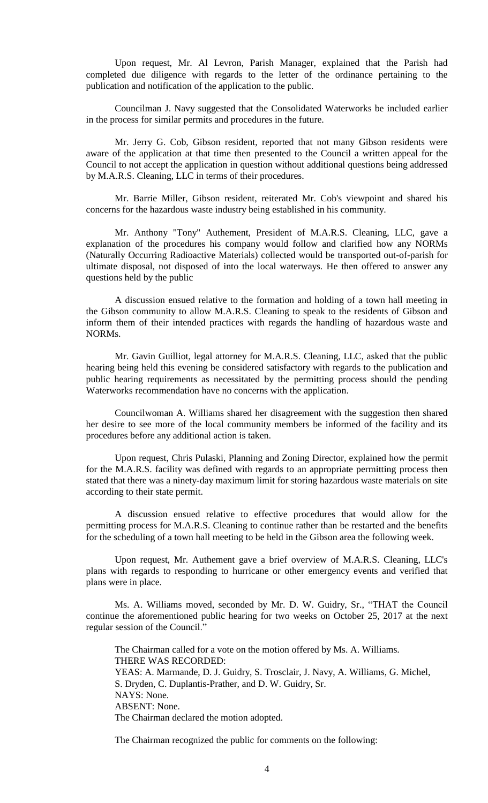Upon request, Mr. Al Levron, Parish Manager, explained that the Parish had completed due diligence with regards to the letter of the ordinance pertaining to the publication and notification of the application to the public.

Councilman J. Navy suggested that the Consolidated Waterworks be included earlier in the process for similar permits and procedures in the future.

Mr. Jerry G. Cob, Gibson resident, reported that not many Gibson residents were aware of the application at that time then presented to the Council a written appeal for the Council to not accept the application in question without additional questions being addressed by M.A.R.S. Cleaning, LLC in terms of their procedures.

Mr. Barrie Miller, Gibson resident, reiterated Mr. Cob's viewpoint and shared his concerns for the hazardous waste industry being established in his community.

Mr. Anthony "Tony" Authement, President of M.A.R.S. Cleaning, LLC, gave a explanation of the procedures his company would follow and clarified how any NORMs (Naturally Occurring Radioactive Materials) collected would be transported out-of-parish for ultimate disposal, not disposed of into the local waterways. He then offered to answer any questions held by the public

A discussion ensued relative to the formation and holding of a town hall meeting in the Gibson community to allow M.A.R.S. Cleaning to speak to the residents of Gibson and inform them of their intended practices with regards the handling of hazardous waste and NORMs.

Mr. Gavin Guilliot, legal attorney for M.A.R.S. Cleaning, LLC, asked that the public hearing being held this evening be considered satisfactory with regards to the publication and public hearing requirements as necessitated by the permitting process should the pending Waterworks recommendation have no concerns with the application.

Councilwoman A. Williams shared her disagreement with the suggestion then shared her desire to see more of the local community members be informed of the facility and its procedures before any additional action is taken.

Upon request, Chris Pulaski, Planning and Zoning Director, explained how the permit for the M.A.R.S. facility was defined with regards to an appropriate permitting process then stated that there was a ninety-day maximum limit for storing hazardous waste materials on site according to their state permit.

A discussion ensued relative to effective procedures that would allow for the permitting process for M.A.R.S. Cleaning to continue rather than be restarted and the benefits for the scheduling of a town hall meeting to be held in the Gibson area the following week.

Upon request, Mr. Authement gave a brief overview of M.A.R.S. Cleaning, LLC's plans with regards to responding to hurricane or other emergency events and verified that plans were in place.

Ms. A. Williams moved, seconded by Mr. D. W. Guidry, Sr., "THAT the Council continue the aforementioned public hearing for two weeks on October 25, 2017 at the next regular session of the Council."

The Chairman called for a vote on the motion offered by Ms. A. Williams. THERE WAS RECORDED: YEAS: A. Marmande, D. J. Guidry, S. Trosclair, J. Navy, A. Williams, G. Michel, S. Dryden, C. Duplantis-Prather, and D. W. Guidry, Sr. NAYS: None. ABSENT: None. The Chairman declared the motion adopted.

The Chairman recognized the public for comments on the following: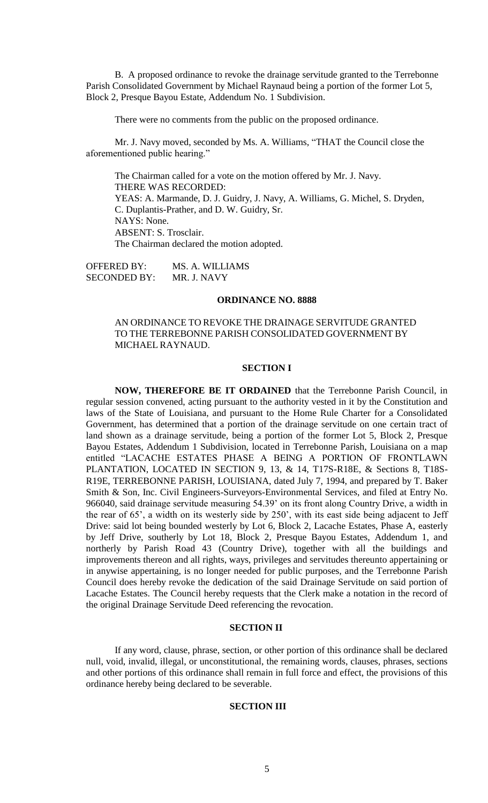B. A proposed ordinance to revoke the drainage servitude granted to the Terrebonne Parish Consolidated Government by Michael Raynaud being a portion of the former Lot 5, Block 2, Presque Bayou Estate, Addendum No. 1 Subdivision.

There were no comments from the public on the proposed ordinance.

Mr. J. Navy moved, seconded by Ms. A. Williams, "THAT the Council close the aforementioned public hearing."

The Chairman called for a vote on the motion offered by Mr. J. Navy. THERE WAS RECORDED: YEAS: A. Marmande, D. J. Guidry, J. Navy, A. Williams, G. Michel, S. Dryden, C. Duplantis-Prather, and D. W. Guidry, Sr. NAYS: None. ABSENT: S. Trosclair. The Chairman declared the motion adopted.

OFFERED BY: MS. A. WILLIAMS SECONDED BY: MR. J. NAVY

#### **ORDINANCE NO. 8888**

# AN ORDINANCE TO REVOKE THE DRAINAGE SERVITUDE GRANTED TO THE TERREBONNE PARISH CONSOLIDATED GOVERNMENT BY MICHAEL RAYNAUD.

## **SECTION I**

**NOW, THEREFORE BE IT ORDAINED** that the Terrebonne Parish Council, in regular session convened, acting pursuant to the authority vested in it by the Constitution and laws of the State of Louisiana, and pursuant to the Home Rule Charter for a Consolidated Government, has determined that a portion of the drainage servitude on one certain tract of land shown as a drainage servitude, being a portion of the former Lot 5, Block 2, Presque Bayou Estates, Addendum 1 Subdivision, located in Terrebonne Parish, Louisiana on a map entitled "LACACHE ESTATES PHASE A BEING A PORTION OF FRONTLAWN PLANTATION, LOCATED IN SECTION 9, 13, & 14, T17S-R18E, & Sections 8, T18S-R19E, TERREBONNE PARISH, LOUISIANA, dated July 7, 1994, and prepared by T. Baker Smith & Son, Inc. Civil Engineers-Surveyors-Environmental Services, and filed at Entry No. 966040, said drainage servitude measuring 54.39' on its front along Country Drive, a width in the rear of 65', a width on its westerly side by 250', with its east side being adjacent to Jeff Drive: said lot being bounded westerly by Lot 6, Block 2, Lacache Estates, Phase A, easterly by Jeff Drive, southerly by Lot 18, Block 2, Presque Bayou Estates, Addendum 1, and northerly by Parish Road 43 (Country Drive), together with all the buildings and improvements thereon and all rights, ways, privileges and servitudes thereunto appertaining or in anywise appertaining, is no longer needed for public purposes, and the Terrebonne Parish Council does hereby revoke the dedication of the said Drainage Servitude on said portion of Lacache Estates. The Council hereby requests that the Clerk make a notation in the record of the original Drainage Servitude Deed referencing the revocation.

### **SECTION II**

If any word, clause, phrase, section, or other portion of this ordinance shall be declared null, void, invalid, illegal, or unconstitutional, the remaining words, clauses, phrases, sections and other portions of this ordinance shall remain in full force and effect, the provisions of this ordinance hereby being declared to be severable.

# **SECTION III**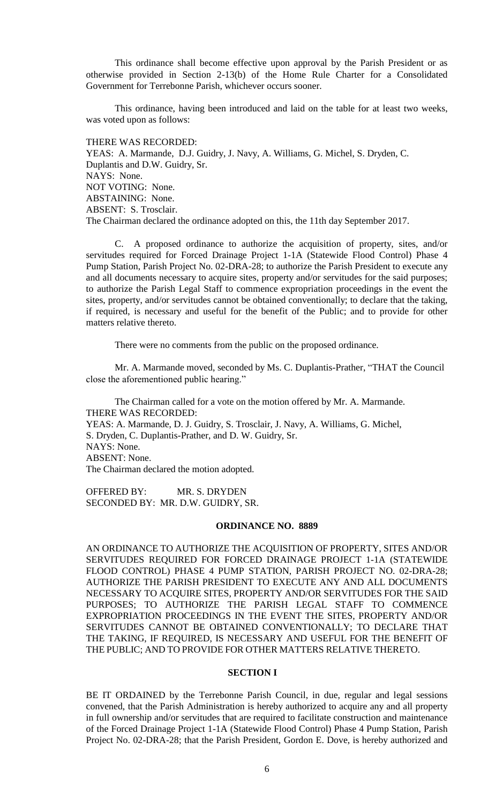This ordinance shall become effective upon approval by the Parish President or as otherwise provided in Section 2-13(b) of the Home Rule Charter for a Consolidated Government for Terrebonne Parish, whichever occurs sooner.

This ordinance, having been introduced and laid on the table for at least two weeks, was voted upon as follows:

THERE WAS RECORDED: YEAS: A. Marmande, D.J. Guidry, J. Navy, A. Williams, G. Michel, S. Dryden, C. Duplantis and D.W. Guidry, Sr. NAYS: None. NOT VOTING: None. ABSTAINING: None. ABSENT: S. Trosclair. The Chairman declared the ordinance adopted on this, the 11th day September 2017.

C. A proposed ordinance to authorize the acquisition of property, sites, and/or servitudes required for Forced Drainage Project 1-1A (Statewide Flood Control) Phase 4 Pump Station, Parish Project No. 02-DRA-28; to authorize the Parish President to execute any and all documents necessary to acquire sites, property and/or servitudes for the said purposes; to authorize the Parish Legal Staff to commence expropriation proceedings in the event the sites, property, and/or servitudes cannot be obtained conventionally; to declare that the taking, if required, is necessary and useful for the benefit of the Public; and to provide for other matters relative thereto.

There were no comments from the public on the proposed ordinance.

Mr. A. Marmande moved, seconded by Ms. C. Duplantis-Prather, "THAT the Council close the aforementioned public hearing."

The Chairman called for a vote on the motion offered by Mr. A. Marmande. THERE WAS RECORDED: YEAS: A. Marmande, D. J. Guidry, S. Trosclair, J. Navy, A. Williams, G. Michel, S. Dryden, C. Duplantis-Prather, and D. W. Guidry, Sr. NAYS: None. ABSENT: None. The Chairman declared the motion adopted.

OFFERED BY: MR. S. DRYDEN SECONDED BY: MR. D.W. GUIDRY, SR.

#### **ORDINANCE NO. 8889**

AN ORDINANCE TO AUTHORIZE THE ACQUISITION OF PROPERTY, SITES AND/OR SERVITUDES REQUIRED FOR FORCED DRAINAGE PROJECT 1-1A (STATEWIDE FLOOD CONTROL) PHASE 4 PUMP STATION, PARISH PROJECT NO. 02-DRA-28; AUTHORIZE THE PARISH PRESIDENT TO EXECUTE ANY AND ALL DOCUMENTS NECESSARY TO ACQUIRE SITES, PROPERTY AND/OR SERVITUDES FOR THE SAID PURPOSES; TO AUTHORIZE THE PARISH LEGAL STAFF TO COMMENCE EXPROPRIATION PROCEEDINGS IN THE EVENT THE SITES, PROPERTY AND/OR SERVITUDES CANNOT BE OBTAINED CONVENTIONALLY; TO DECLARE THAT THE TAKING, IF REQUIRED, IS NECESSARY AND USEFUL FOR THE BENEFIT OF THE PUBLIC; AND TO PROVIDE FOR OTHER MATTERS RELATIVE THERETO.

# **SECTION I**

BE IT ORDAINED by the Terrebonne Parish Council, in due, regular and legal sessions convened, that the Parish Administration is hereby authorized to acquire any and all property in full ownership and/or servitudes that are required to facilitate construction and maintenance of the Forced Drainage Project 1-1A (Statewide Flood Control) Phase 4 Pump Station, Parish Project No. 02-DRA-28; that the Parish President, Gordon E. Dove, is hereby authorized and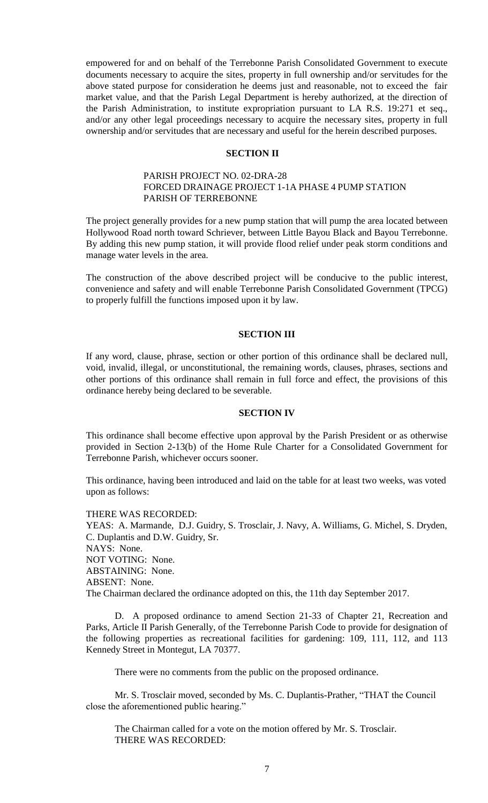empowered for and on behalf of the Terrebonne Parish Consolidated Government to execute documents necessary to acquire the sites, property in full ownership and/or servitudes for the above stated purpose for consideration he deems just and reasonable, not to exceed the fair market value, and that the Parish Legal Department is hereby authorized, at the direction of the Parish Administration, to institute expropriation pursuant to LA R.S. 19:271 et seq., and/or any other legal proceedings necessary to acquire the necessary sites, property in full ownership and/or servitudes that are necessary and useful for the herein described purposes.

# **SECTION II**

# PARISH PROJECT NO. 02-DRA-28 FORCED DRAINAGE PROJECT 1-1A PHASE 4 PUMP STATION PARISH OF TERREBONNE

The project generally provides for a new pump station that will pump the area located between Hollywood Road north toward Schriever, between Little Bayou Black and Bayou Terrebonne. By adding this new pump station, it will provide flood relief under peak storm conditions and manage water levels in the area.

The construction of the above described project will be conducive to the public interest, convenience and safety and will enable Terrebonne Parish Consolidated Government (TPCG) to properly fulfill the functions imposed upon it by law.

# **SECTION III**

If any word, clause, phrase, section or other portion of this ordinance shall be declared null, void, invalid, illegal, or unconstitutional, the remaining words, clauses, phrases, sections and other portions of this ordinance shall remain in full force and effect, the provisions of this ordinance hereby being declared to be severable.

### **SECTION IV**

This ordinance shall become effective upon approval by the Parish President or as otherwise provided in Section 2-13(b) of the Home Rule Charter for a Consolidated Government for Terrebonne Parish, whichever occurs sooner.

This ordinance, having been introduced and laid on the table for at least two weeks, was voted upon as follows:

THERE WAS RECORDED: YEAS: A. Marmande, D.J. Guidry, S. Trosclair, J. Navy, A. Williams, G. Michel, S. Dryden, C. Duplantis and D.W. Guidry, Sr. NAYS: None. NOT VOTING: None. ABSTAINING: None. ABSENT: None. The Chairman declared the ordinance adopted on this, the 11th day September 2017.

D. A proposed ordinance to amend Section 21-33 of Chapter 21, Recreation and Parks, Article II Parish Generally, of the Terrebonne Parish Code to provide for designation of the following properties as recreational facilities for gardening: 109, 111, 112, and 113 Kennedy Street in Montegut, LA 70377.

There were no comments from the public on the proposed ordinance.

Mr. S. Trosclair moved, seconded by Ms. C. Duplantis-Prather, "THAT the Council close the aforementioned public hearing."

The Chairman called for a vote on the motion offered by Mr. S. Trosclair. THERE WAS RECORDED: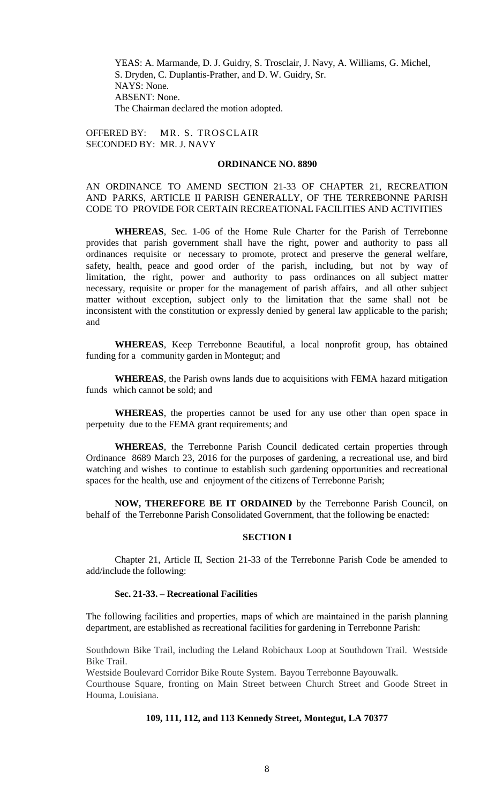YEAS: A. Marmande, D. J. Guidry, S. Trosclair, J. Navy, A. Williams, G. Michel, S. Dryden, C. Duplantis-Prather, and D. W. Guidry, Sr. NAYS: None. ABSENT: None. The Chairman declared the motion adopted.

OFFERED BY: MR. S. TROSCLAIR SECONDED BY: MR. J. NAVY

#### **ORDINANCE NO. 8890**

# AN ORDINANCE TO AMEND SECTION 21-33 OF CHAPTER 21, RECREATION AND PARKS, ARTICLE II PARISH GENERALLY, OF THE TERREBONNE PARISH CODE TO PROVIDE FOR CERTAIN RECREATIONAL FACILITIES AND ACTIVITIES

**WHEREAS**, Sec. 1-06 of the Home Rule Charter for the Parish of Terrebonne provides that parish government shall have the right, power and authority to pass all ordinances requisite or necessary to promote, protect and preserve the general welfare, safety, health, peace and good order of the parish, including, but not by way of limitation, the right, power and authority to pass ordinances on all subject matter necessary, requisite or proper for the management of parish affairs, and all other subject matter without exception, subject only to the limitation that the same shall not be inconsistent with the constitution or expressly denied by general law applicable to the parish; and

**WHEREAS**, Keep Terrebonne Beautiful, a local nonprofit group, has obtained funding for a community garden in Montegut; and

**WHEREAS**, the Parish owns lands due to acquisitions with FEMA hazard mitigation funds which cannot be sold; and

**WHEREAS**, the properties cannot be used for any use other than open space in perpetuity due to the FEMA grant requirements; and

**WHEREAS**, the Terrebonne Parish Council dedicated certain properties through Ordinance 8689 March 23, 2016 for the purposes of gardening, a recreational use, and bird watching and wishes to continue to establish such gardening opportunities and recreational spaces for the health, use and enjoyment of the citizens of Terrebonne Parish;

**NOW, THEREFORE BE IT ORDAINED** by the Terrebonne Parish Council, on behalf of the Terrebonne Parish Consolidated Government, that the following be enacted:

# **SECTION I**

Chapter 21, Article II, Section 21-33 of the Terrebonne Parish Code be amended to add/include the following:

## **Sec. 21-33. – Recreational Facilities**

The following facilities and properties, maps of which are maintained in the parish planning department, are established as recreational facilities for gardening in Terrebonne Parish:

Southdown Bike Trail, including the Leland Robichaux Loop at Southdown Trail. Westside Bike Trail.

Westside Boulevard Corridor Bike Route System. Bayou Terrebonne Bayouwalk.

Courthouse Square, fronting on Main Street between Church Street and Goode Street in Houma, Louisiana.

# **109, 111, 112, and 113 Kennedy Street, Montegut, LA 70377**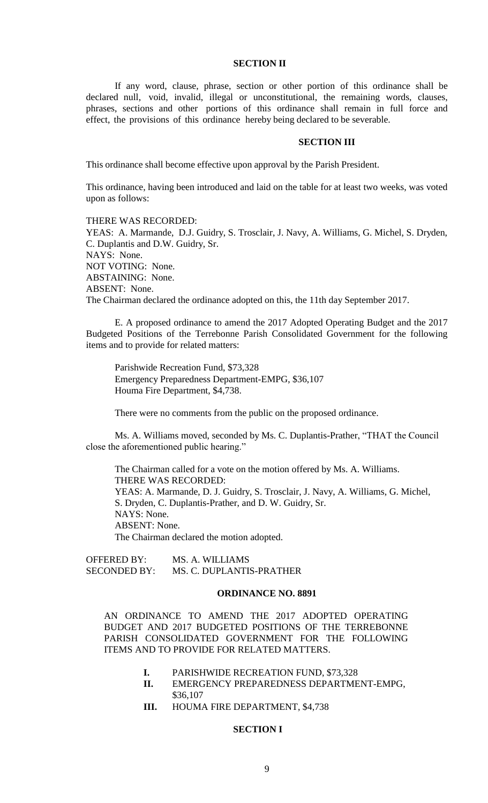#### **SECTION II**

If any word, clause, phrase, section or other portion of this ordinance shall be declared null, void, invalid, illegal or unconstitutional, the remaining words, clauses, phrases, sections and other portions of this ordinance shall remain in full force and effect, the provisions of this ordinance hereby being declared to be severable.

#### **SECTION III**

This ordinance shall become effective upon approval by the Parish President.

This ordinance, having been introduced and laid on the table for at least two weeks, was voted upon as follows:

#### THERE WAS RECORDED:

YEAS: A. Marmande, D.J. Guidry, S. Trosclair, J. Navy, A. Williams, G. Michel, S. Dryden, C. Duplantis and D.W. Guidry, Sr. NAYS: None. NOT VOTING: None. ABSTAINING: None. ABSENT: None. The Chairman declared the ordinance adopted on this, the 11th day September 2017.

E. A proposed ordinance to amend the 2017 Adopted Operating Budget and the 2017 Budgeted Positions of the Terrebonne Parish Consolidated Government for the following items and to provide for related matters:

Parishwide Recreation Fund, \$73,328 Emergency Preparedness Department-EMPG, \$36,107 Houma Fire Department, \$4,738.

There were no comments from the public on the proposed ordinance.

Ms. A. Williams moved, seconded by Ms. C. Duplantis-Prather, "THAT the Council close the aforementioned public hearing."

The Chairman called for a vote on the motion offered by Ms. A. Williams. THERE WAS RECORDED: YEAS: A. Marmande, D. J. Guidry, S. Trosclair, J. Navy, A. Williams, G. Michel, S. Dryden, C. Duplantis-Prather, and D. W. Guidry, Sr. NAYS: None. ABSENT: None. The Chairman declared the motion adopted.

OFFERED BY: MS. A. WILLIAMS SECONDED BY: MS. C. DUPLANTIS-PRATHER

#### **ORDINANCE NO. 8891**

AN ORDINANCE TO AMEND THE 2017 ADOPTED OPERATING BUDGET AND 2017 BUDGETED POSITIONS OF THE TERREBONNE PARISH CONSOLIDATED GOVERNMENT FOR THE FOLLOWING ITEMS AND TO PROVIDE FOR RELATED MATTERS.

- **I.** PARISHWIDE RECREATION FUND, \$73,328
- **II.** EMERGENCY PREPAREDNESS DEPARTMENT-EMPG, \$36,107
- **III.** HOUMA FIRE DEPARTMENT, \$4,738

# **SECTION I**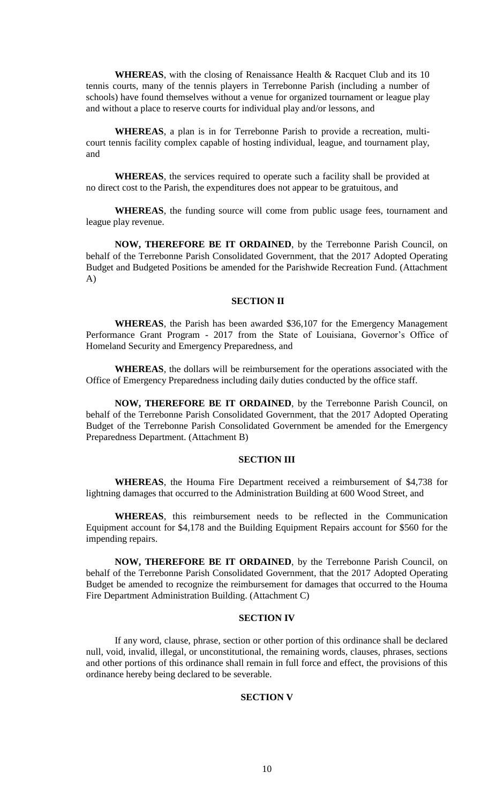WHEREAS, with the closing of Renaissance Health & Racquet Club and its 10 tennis courts, many of the tennis players in Terrebonne Parish (including a number of schools) have found themselves without a venue for organized tournament or league play and without a place to reserve courts for individual play and/or lessons, and

**WHEREAS**, a plan is in for Terrebonne Parish to provide a recreation, multicourt tennis facility complex capable of hosting individual, league, and tournament play, and

**WHEREAS**, the services required to operate such a facility shall be provided at no direct cost to the Parish, the expenditures does not appear to be gratuitous, and

**WHEREAS**, the funding source will come from public usage fees, tournament and league play revenue.

**NOW, THEREFORE BE IT ORDAINED**, by the Terrebonne Parish Council, on behalf of the Terrebonne Parish Consolidated Government, that the 2017 Adopted Operating Budget and Budgeted Positions be amended for the Parishwide Recreation Fund. (Attachment A)

#### **SECTION II**

**WHEREAS**, the Parish has been awarded \$36,107 for the Emergency Management Performance Grant Program - 2017 from the State of Louisiana, Governor's Office of Homeland Security and Emergency Preparedness, and

**WHEREAS**, the dollars will be reimbursement for the operations associated with the Office of Emergency Preparedness including daily duties conducted by the office staff.

**NOW, THEREFORE BE IT ORDAINED**, by the Terrebonne Parish Council, on behalf of the Terrebonne Parish Consolidated Government, that the 2017 Adopted Operating Budget of the Terrebonne Parish Consolidated Government be amended for the Emergency Preparedness Department. (Attachment B)

### **SECTION III**

**WHEREAS**, the Houma Fire Department received a reimbursement of \$4,738 for lightning damages that occurred to the Administration Building at 600 Wood Street, and

**WHEREAS**, this reimbursement needs to be reflected in the Communication Equipment account for \$4,178 and the Building Equipment Repairs account for \$560 for the impending repairs.

**NOW, THEREFORE BE IT ORDAINED**, by the Terrebonne Parish Council, on behalf of the Terrebonne Parish Consolidated Government, that the 2017 Adopted Operating Budget be amended to recognize the reimbursement for damages that occurred to the Houma Fire Department Administration Building. (Attachment C)

### **SECTION IV**

If any word, clause, phrase, section or other portion of this ordinance shall be declared null, void, invalid, illegal, or unconstitutional, the remaining words, clauses, phrases, sections and other portions of this ordinance shall remain in full force and effect, the provisions of this ordinance hereby being declared to be severable.

### **SECTION V**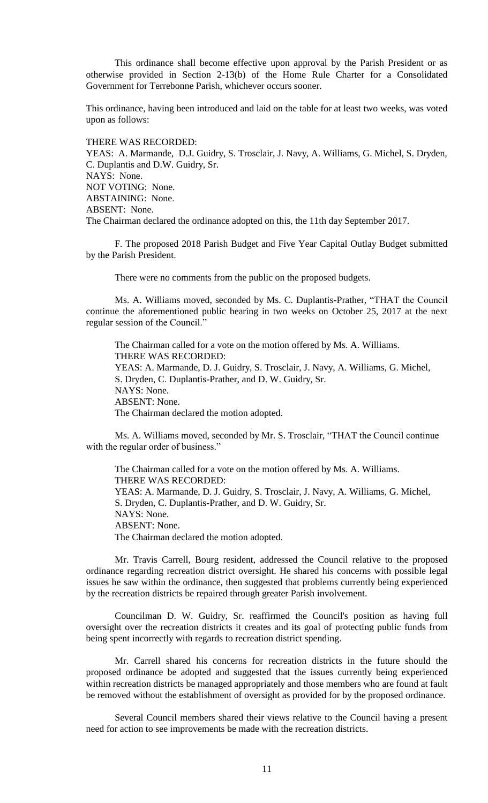This ordinance shall become effective upon approval by the Parish President or as otherwise provided in Section 2-13(b) of the Home Rule Charter for a Consolidated Government for Terrebonne Parish, whichever occurs sooner.

This ordinance, having been introduced and laid on the table for at least two weeks, was voted upon as follows:

THERE WAS RECORDED:

YEAS: A. Marmande, D.J. Guidry, S. Trosclair, J. Navy, A. Williams, G. Michel, S. Dryden, C. Duplantis and D.W. Guidry, Sr. NAYS: None. NOT VOTING: None. ABSTAINING: None. ABSENT: None. The Chairman declared the ordinance adopted on this, the 11th day September 2017.

F. The proposed 2018 Parish Budget and Five Year Capital Outlay Budget submitted by the Parish President.

There were no comments from the public on the proposed budgets.

Ms. A. Williams moved, seconded by Ms. C. Duplantis-Prather, "THAT the Council continue the aforementioned public hearing in two weeks on October 25, 2017 at the next regular session of the Council."

The Chairman called for a vote on the motion offered by Ms. A. Williams. THERE WAS RECORDED: YEAS: A. Marmande, D. J. Guidry, S. Trosclair, J. Navy, A. Williams, G. Michel, S. Dryden, C. Duplantis-Prather, and D. W. Guidry, Sr. NAYS: None. ABSENT: None. The Chairman declared the motion adopted.

Ms. A. Williams moved, seconded by Mr. S. Trosclair, "THAT the Council continue with the regular order of business."

The Chairman called for a vote on the motion offered by Ms. A. Williams. THERE WAS RECORDED: YEAS: A. Marmande, D. J. Guidry, S. Trosclair, J. Navy, A. Williams, G. Michel, S. Dryden, C. Duplantis-Prather, and D. W. Guidry, Sr. NAYS: None. ABSENT: None. The Chairman declared the motion adopted.

Mr. Travis Carrell, Bourg resident, addressed the Council relative to the proposed ordinance regarding recreation district oversight. He shared his concerns with possible legal issues he saw within the ordinance, then suggested that problems currently being experienced by the recreation districts be repaired through greater Parish involvement.

Councilman D. W. Guidry, Sr. reaffirmed the Council's position as having full oversight over the recreation districts it creates and its goal of protecting public funds from being spent incorrectly with regards to recreation district spending.

Mr. Carrell shared his concerns for recreation districts in the future should the proposed ordinance be adopted and suggested that the issues currently being experienced within recreation districts be managed appropriately and those members who are found at fault be removed without the establishment of oversight as provided for by the proposed ordinance.

Several Council members shared their views relative to the Council having a present need for action to see improvements be made with the recreation districts.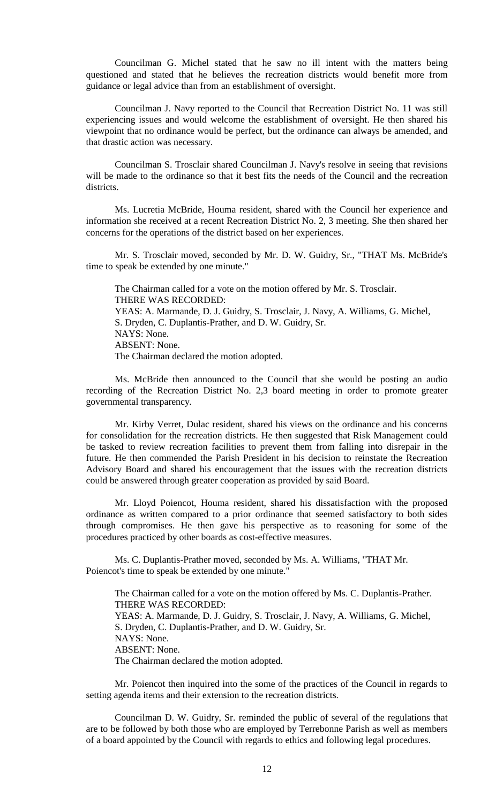Councilman G. Michel stated that he saw no ill intent with the matters being questioned and stated that he believes the recreation districts would benefit more from guidance or legal advice than from an establishment of oversight.

Councilman J. Navy reported to the Council that Recreation District No. 11 was still experiencing issues and would welcome the establishment of oversight. He then shared his viewpoint that no ordinance would be perfect, but the ordinance can always be amended, and that drastic action was necessary.

Councilman S. Trosclair shared Councilman J. Navy's resolve in seeing that revisions will be made to the ordinance so that it best fits the needs of the Council and the recreation districts.

Ms. Lucretia McBride, Houma resident, shared with the Council her experience and information she received at a recent Recreation District No. 2, 3 meeting. She then shared her concerns for the operations of the district based on her experiences.

Mr. S. Trosclair moved, seconded by Mr. D. W. Guidry, Sr., "THAT Ms. McBride's time to speak be extended by one minute."

The Chairman called for a vote on the motion offered by Mr. S. Trosclair. THERE WAS RECORDED: YEAS: A. Marmande, D. J. Guidry, S. Trosclair, J. Navy, A. Williams, G. Michel, S. Dryden, C. Duplantis-Prather, and D. W. Guidry, Sr. NAYS: None. ABSENT: None. The Chairman declared the motion adopted.

Ms. McBride then announced to the Council that she would be posting an audio recording of the Recreation District No. 2,3 board meeting in order to promote greater governmental transparency.

Mr. Kirby Verret, Dulac resident, shared his views on the ordinance and his concerns for consolidation for the recreation districts. He then suggested that Risk Management could be tasked to review recreation facilities to prevent them from falling into disrepair in the future. He then commended the Parish President in his decision to reinstate the Recreation Advisory Board and shared his encouragement that the issues with the recreation districts could be answered through greater cooperation as provided by said Board.

Mr. Lloyd Poiencot, Houma resident, shared his dissatisfaction with the proposed ordinance as written compared to a prior ordinance that seemed satisfactory to both sides through compromises. He then gave his perspective as to reasoning for some of the procedures practiced by other boards as cost-effective measures.

Ms. C. Duplantis-Prather moved, seconded by Ms. A. Williams, "THAT Mr. Poiencot's time to speak be extended by one minute."

The Chairman called for a vote on the motion offered by Ms. C. Duplantis-Prather. THERE WAS RECORDED: YEAS: A. Marmande, D. J. Guidry, S. Trosclair, J. Navy, A. Williams, G. Michel, S. Dryden, C. Duplantis-Prather, and D. W. Guidry, Sr. NAYS: None. ABSENT: None. The Chairman declared the motion adopted.

Mr. Poiencot then inquired into the some of the practices of the Council in regards to setting agenda items and their extension to the recreation districts.

Councilman D. W. Guidry, Sr. reminded the public of several of the regulations that are to be followed by both those who are employed by Terrebonne Parish as well as members of a board appointed by the Council with regards to ethics and following legal procedures.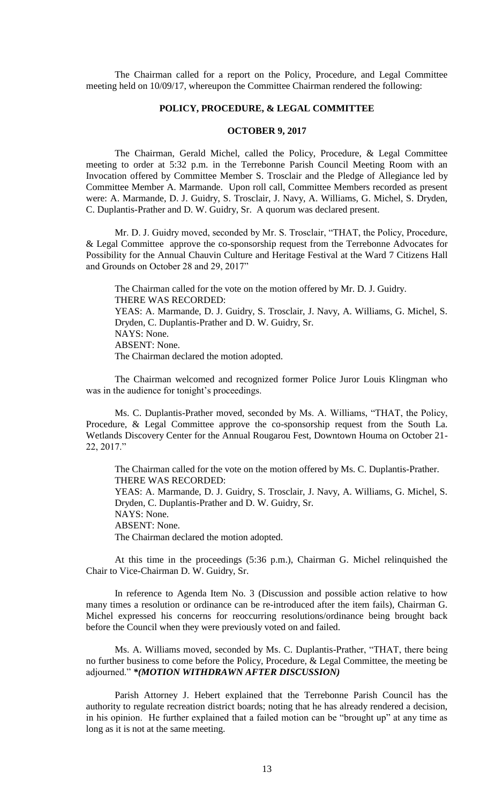The Chairman called for a report on the Policy, Procedure, and Legal Committee meeting held on 10/09/17, whereupon the Committee Chairman rendered the following:

# **POLICY, PROCEDURE, & LEGAL COMMITTEE**

# **OCTOBER 9, 2017**

The Chairman, Gerald Michel, called the Policy, Procedure, & Legal Committee meeting to order at 5:32 p.m. in the Terrebonne Parish Council Meeting Room with an Invocation offered by Committee Member S. Trosclair and the Pledge of Allegiance led by Committee Member A. Marmande. Upon roll call, Committee Members recorded as present were: A. Marmande, D. J. Guidry, S. Trosclair, J. Navy, A. Williams, G. Michel, S. Dryden, C. Duplantis-Prather and D. W. Guidry, Sr. A quorum was declared present.

Mr. D. J. Guidry moved, seconded by Mr. S. Trosclair, "THAT, the Policy, Procedure, & Legal Committee approve the co-sponsorship request from the Terrebonne Advocates for Possibility for the Annual Chauvin Culture and Heritage Festival at the Ward 7 Citizens Hall and Grounds on October 28 and 29, 2017"

The Chairman called for the vote on the motion offered by Mr. D. J. Guidry. THERE WAS RECORDED: YEAS: A. Marmande, D. J. Guidry, S. Trosclair, J. Navy, A. Williams, G. Michel, S. Dryden, C. Duplantis-Prather and D. W. Guidry, Sr. NAYS: None. ABSENT: None. The Chairman declared the motion adopted.

The Chairman welcomed and recognized former Police Juror Louis Klingman who was in the audience for tonight's proceedings.

Ms. C. Duplantis-Prather moved, seconded by Ms. A. Williams, "THAT, the Policy, Procedure, & Legal Committee approve the co-sponsorship request from the South La. Wetlands Discovery Center for the Annual Rougarou Fest, Downtown Houma on October 21- 22, 2017."

The Chairman called for the vote on the motion offered by Ms. C. Duplantis-Prather. THERE WAS RECORDED: YEAS: A. Marmande, D. J. Guidry, S. Trosclair, J. Navy, A. Williams, G. Michel, S. Dryden, C. Duplantis-Prather and D. W. Guidry, Sr. NAYS: None. ABSENT: None. The Chairman declared the motion adopted.

At this time in the proceedings (5:36 p.m.), Chairman G. Michel relinquished the Chair to Vice-Chairman D. W. Guidry, Sr.

In reference to Agenda Item No. 3 (Discussion and possible action relative to how many times a resolution or ordinance can be re-introduced after the item fails), Chairman G. Michel expressed his concerns for reoccurring resolutions/ordinance being brought back before the Council when they were previously voted on and failed.

Ms. A. Williams moved, seconded by Ms. C. Duplantis-Prather, "THAT, there being no further business to come before the Policy, Procedure, & Legal Committee, the meeting be adjourned." *\*(MOTION WITHDRAWN AFTER DISCUSSION)*

Parish Attorney J. Hebert explained that the Terrebonne Parish Council has the authority to regulate recreation district boards; noting that he has already rendered a decision, in his opinion. He further explained that a failed motion can be "brought up" at any time as long as it is not at the same meeting.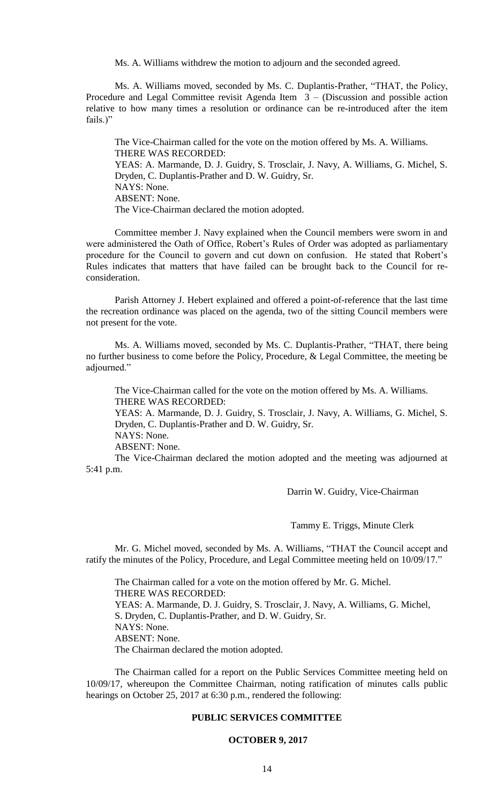Ms. A. Williams withdrew the motion to adjourn and the seconded agreed.

Ms. A. Williams moved, seconded by Ms. C. Duplantis-Prather, "THAT, the Policy, Procedure and Legal Committee revisit Agenda Item 3 – (Discussion and possible action relative to how many times a resolution or ordinance can be re-introduced after the item fails.)"

The Vice-Chairman called for the vote on the motion offered by Ms. A. Williams. THERE WAS RECORDED: YEAS: A. Marmande, D. J. Guidry, S. Trosclair, J. Navy, A. Williams, G. Michel, S. Dryden, C. Duplantis-Prather and D. W. Guidry, Sr. NAYS: None. ABSENT: None. The Vice-Chairman declared the motion adopted.

Committee member J. Navy explained when the Council members were sworn in and were administered the Oath of Office, Robert's Rules of Order was adopted as parliamentary procedure for the Council to govern and cut down on confusion. He stated that Robert's Rules indicates that matters that have failed can be brought back to the Council for reconsideration.

Parish Attorney J. Hebert explained and offered a point-of-reference that the last time the recreation ordinance was placed on the agenda, two of the sitting Council members were not present for the vote.

Ms. A. Williams moved, seconded by Ms. C. Duplantis-Prather, "THAT, there being no further business to come before the Policy, Procedure, & Legal Committee, the meeting be adjourned."

The Vice-Chairman called for the vote on the motion offered by Ms. A. Williams. THERE WAS RECORDED:

YEAS: A. Marmande, D. J. Guidry, S. Trosclair, J. Navy, A. Williams, G. Michel, S. Dryden, C. Duplantis-Prather and D. W. Guidry, Sr.

NAYS: None.

ABSENT: None.

The Vice-Chairman declared the motion adopted and the meeting was adjourned at 5:41 p.m.

Darrin W. Guidry, Vice-Chairman

Tammy E. Triggs, Minute Clerk

Mr. G. Michel moved, seconded by Ms. A. Williams, "THAT the Council accept and ratify the minutes of the Policy, Procedure, and Legal Committee meeting held on 10/09/17."

The Chairman called for a vote on the motion offered by Mr. G. Michel. THERE WAS RECORDED: YEAS: A. Marmande, D. J. Guidry, S. Trosclair, J. Navy, A. Williams, G. Michel, S. Dryden, C. Duplantis-Prather, and D. W. Guidry, Sr. NAYS: None. ABSENT: None. The Chairman declared the motion adopted.

The Chairman called for a report on the Public Services Committee meeting held on 10/09/17, whereupon the Committee Chairman, noting ratification of minutes calls public hearings on October 25, 2017 at 6:30 p.m., rendered the following:

# **PUBLIC SERVICES COMMITTEE**

# **OCTOBER 9, 2017**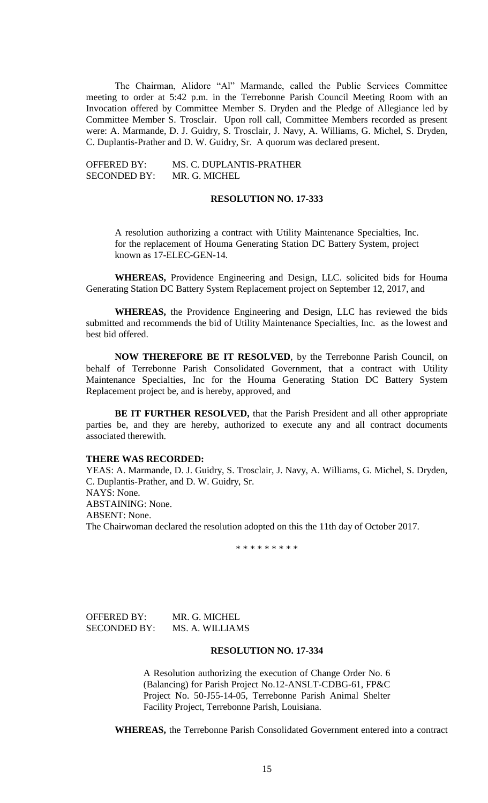The Chairman, Alidore "Al" Marmande, called the Public Services Committee meeting to order at 5:42 p.m. in the Terrebonne Parish Council Meeting Room with an Invocation offered by Committee Member S. Dryden and the Pledge of Allegiance led by Committee Member S. Trosclair. Upon roll call, Committee Members recorded as present were: A. Marmande, D. J. Guidry, S. Trosclair, J. Navy, A. Williams, G. Michel, S. Dryden, C. Duplantis-Prather and D. W. Guidry, Sr. A quorum was declared present.

OFFERED BY: MS. C. DUPLANTIS-PRATHER SECONDED BY: MR. G. MICHEL

# **RESOLUTION NO. 17-333**

A resolution authorizing a contract with Utility Maintenance Specialties, Inc. for the replacement of Houma Generating Station DC Battery System, project known as 17-ELEC-GEN-14.

**WHEREAS,** Providence Engineering and Design, LLC. solicited bids for Houma Generating Station DC Battery System Replacement project on September 12, 2017, and

**WHEREAS,** the Providence Engineering and Design, LLC has reviewed the bids submitted and recommends the bid of Utility Maintenance Specialties, Inc. as the lowest and best bid offered.

**NOW THEREFORE BE IT RESOLVED**, by the Terrebonne Parish Council, on behalf of Terrebonne Parish Consolidated Government, that a contract with Utility Maintenance Specialties, Inc for the Houma Generating Station DC Battery System Replacement project be, and is hereby, approved, and

**BE IT FURTHER RESOLVED,** that the Parish President and all other appropriate parties be, and they are hereby, authorized to execute any and all contract documents associated therewith.

# **THERE WAS RECORDED:**

YEAS: A. Marmande, D. J. Guidry, S. Trosclair, J. Navy, A. Williams, G. Michel, S. Dryden, C. Duplantis-Prather, and D. W. Guidry, Sr. NAYS: None. ABSTAINING: None. ABSENT: None. The Chairwoman declared the resolution adopted on this the 11th day of October 2017.

\* \* \* \* \* \* \* \* \*

| <b>OFFERED BY:</b>  | MR. G. MICHEL   |
|---------------------|-----------------|
| <b>SECONDED BY:</b> | MS. A. WILLIAMS |

# **RESOLUTION NO. 17-334**

A Resolution authorizing the execution of Change Order No. 6 (Balancing) for Parish Project No.12-ANSLT-CDBG-61, FP&C Project No. 50-J55-14-05, Terrebonne Parish Animal Shelter Facility Project, Terrebonne Parish, Louisiana.

**WHEREAS,** the Terrebonne Parish Consolidated Government entered into a contract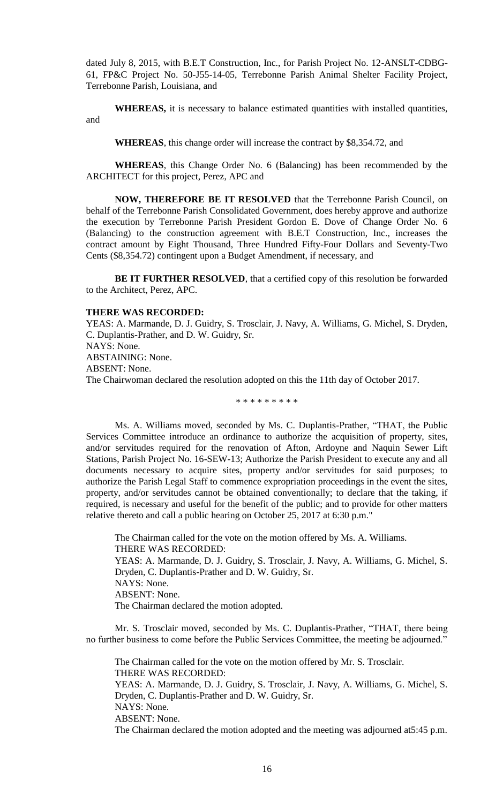dated July 8, 2015, with B.E.T Construction, Inc., for Parish Project No. 12-ANSLT-CDBG-61, FP&C Project No. 50-J55-14-05, Terrebonne Parish Animal Shelter Facility Project, Terrebonne Parish, Louisiana, and

**WHEREAS,** it is necessary to balance estimated quantities with installed quantities, and

**WHEREAS**, this change order will increase the contract by \$8,354.72, and

**WHEREAS**, this Change Order No. 6 (Balancing) has been recommended by the ARCHITECT for this project, Perez, APC and

**NOW, THEREFORE BE IT RESOLVED** that the Terrebonne Parish Council, on behalf of the Terrebonne Parish Consolidated Government, does hereby approve and authorize the execution by Terrebonne Parish President Gordon E. Dove of Change Order No. 6 (Balancing) to the construction agreement with B.E.T Construction, Inc., increases the contract amount by Eight Thousand, Three Hundred Fifty-Four Dollars and Seventy-Two Cents (\$8,354.72) contingent upon a Budget Amendment, if necessary, and

**BE IT FURTHER RESOLVED**, that a certified copy of this resolution be forwarded to the Architect, Perez, APC.

# **THERE WAS RECORDED:**

YEAS: A. Marmande, D. J. Guidry, S. Trosclair, J. Navy, A. Williams, G. Michel, S. Dryden, C. Duplantis-Prather, and D. W. Guidry, Sr. NAYS: None. ABSTAINING: None. ABSENT: None. The Chairwoman declared the resolution adopted on this the 11th day of October 2017.

\* \* \* \* \* \* \* \* \*

Ms. A. Williams moved, seconded by Ms. C. Duplantis-Prather, "THAT, the Public Services Committee introduce an ordinance to authorize the acquisition of property, sites, and/or servitudes required for the renovation of Afton, Ardoyne and Naquin Sewer Lift Stations, Parish Project No. 16-SEW-13; Authorize the Parish President to execute any and all documents necessary to acquire sites, property and/or servitudes for said purposes; to authorize the Parish Legal Staff to commence expropriation proceedings in the event the sites, property, and/or servitudes cannot be obtained conventionally; to declare that the taking, if required, is necessary and useful for the benefit of the public; and to provide for other matters relative thereto and call a public hearing on October 25, 2017 at 6:30 p.m."

The Chairman called for the vote on the motion offered by Ms. A. Williams. THERE WAS RECORDED: YEAS: A. Marmande, D. J. Guidry, S. Trosclair, J. Navy, A. Williams, G. Michel, S. Dryden, C. Duplantis-Prather and D. W. Guidry, Sr. NAYS: None. ABSENT: None. The Chairman declared the motion adopted.

Mr. S. Trosclair moved, seconded by Ms. C. Duplantis-Prather, "THAT, there being no further business to come before the Public Services Committee, the meeting be adjourned."

The Chairman called for the vote on the motion offered by Mr. S. Trosclair. THERE WAS RECORDED: YEAS: A. Marmande, D. J. Guidry, S. Trosclair, J. Navy, A. Williams, G. Michel, S. Dryden, C. Duplantis-Prather and D. W. Guidry, Sr. NAYS: None. ABSENT: None. The Chairman declared the motion adopted and the meeting was adjourned at5:45 p.m.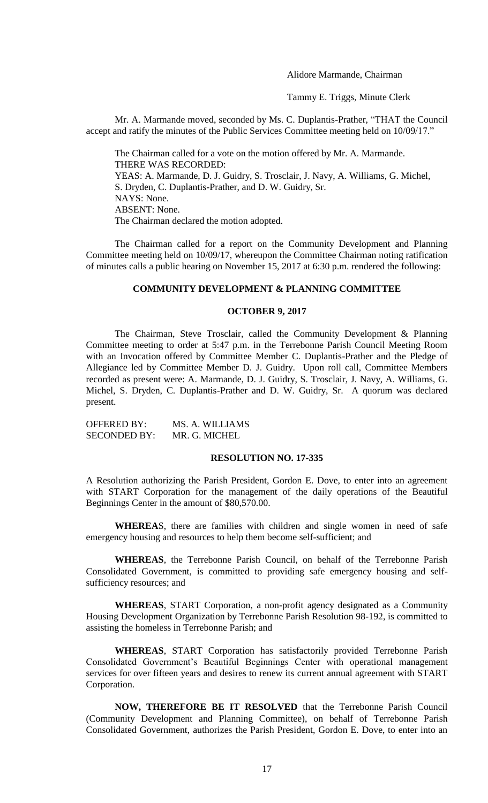Alidore Marmande, Chairman

Tammy E. Triggs, Minute Clerk

Mr. A. Marmande moved, seconded by Ms. C. Duplantis-Prather, "THAT the Council accept and ratify the minutes of the Public Services Committee meeting held on 10/09/17."

The Chairman called for a vote on the motion offered by Mr. A. Marmande. THERE WAS RECORDED: YEAS: A. Marmande, D. J. Guidry, S. Trosclair, J. Navy, A. Williams, G. Michel, S. Dryden, C. Duplantis-Prather, and D. W. Guidry, Sr. NAYS: None. ABSENT: None. The Chairman declared the motion adopted.

The Chairman called for a report on the Community Development and Planning Committee meeting held on 10/09/17, whereupon the Committee Chairman noting ratification of minutes calls a public hearing on November 15, 2017 at 6:30 p.m. rendered the following:

### **COMMUNITY DEVELOPMENT & PLANNING COMMITTEE**

### **OCTOBER 9, 2017**

The Chairman, Steve Trosclair, called the Community Development & Planning Committee meeting to order at 5:47 p.m. in the Terrebonne Parish Council Meeting Room with an Invocation offered by Committee Member C. Duplantis-Prather and the Pledge of Allegiance led by Committee Member D. J. Guidry. Upon roll call, Committee Members recorded as present were: A. Marmande, D. J. Guidry, S. Trosclair, J. Navy, A. Williams, G. Michel, S. Dryden, C. Duplantis-Prather and D. W. Guidry, Sr. A quorum was declared present.

OFFERED BY: MS. A. WILLIAMS SECONDED BY: MR. G. MICHEL

#### **RESOLUTION NO. 17-335**

A Resolution authorizing the Parish President, Gordon E. Dove, to enter into an agreement with START Corporation for the management of the daily operations of the Beautiful Beginnings Center in the amount of \$80,570.00.

**WHEREA**S, there are families with children and single women in need of safe emergency housing and resources to help them become self-sufficient; and

**WHEREAS**, the Terrebonne Parish Council, on behalf of the Terrebonne Parish Consolidated Government, is committed to providing safe emergency housing and selfsufficiency resources; and

**WHEREAS**, START Corporation, a non-profit agency designated as a Community Housing Development Organization by Terrebonne Parish Resolution 98-192, is committed to assisting the homeless in Terrebonne Parish; and

**WHEREAS**, START Corporation has satisfactorily provided Terrebonne Parish Consolidated Government's Beautiful Beginnings Center with operational management services for over fifteen years and desires to renew its current annual agreement with START Corporation.

**NOW, THEREFORE BE IT RESOLVED** that the Terrebonne Parish Council (Community Development and Planning Committee), on behalf of Terrebonne Parish Consolidated Government, authorizes the Parish President, Gordon E. Dove, to enter into an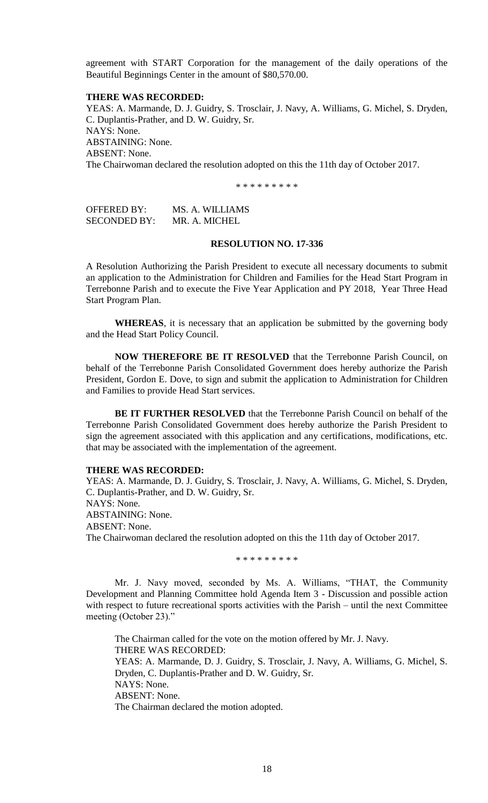agreement with START Corporation for the management of the daily operations of the Beautiful Beginnings Center in the amount of \$80,570.00.

#### **THERE WAS RECORDED:**

YEAS: A. Marmande, D. J. Guidry, S. Trosclair, J. Navy, A. Williams, G. Michel, S. Dryden, C. Duplantis-Prather, and D. W. Guidry, Sr. NAYS: None. ABSTAINING: None. ABSENT: None. The Chairwoman declared the resolution adopted on this the 11th day of October 2017.

\* \* \* \* \* \* \* \* \*

OFFERED BY: MS. A. WILLIAMS SECONDED BY: MR. A. MICHEL

# **RESOLUTION NO. 17-336**

A Resolution Authorizing the Parish President to execute all necessary documents to submit an application to the Administration for Children and Families for the Head Start Program in Terrebonne Parish and to execute the Five Year Application and PY 2018, Year Three Head Start Program Plan.

**WHEREAS**, it is necessary that an application be submitted by the governing body and the Head Start Policy Council.

**NOW THEREFORE BE IT RESOLVED** that the Terrebonne Parish Council, on behalf of the Terrebonne Parish Consolidated Government does hereby authorize the Parish President, Gordon E. Dove, to sign and submit the application to Administration for Children and Families to provide Head Start services.

**BE IT FURTHER RESOLVED** that the Terrebonne Parish Council on behalf of the Terrebonne Parish Consolidated Government does hereby authorize the Parish President to sign the agreement associated with this application and any certifications, modifications, etc. that may be associated with the implementation of the agreement.

# **THERE WAS RECORDED:**

YEAS: A. Marmande, D. J. Guidry, S. Trosclair, J. Navy, A. Williams, G. Michel, S. Dryden, C. Duplantis-Prather, and D. W. Guidry, Sr. NAYS: None. ABSTAINING: None. ABSENT: None. The Chairwoman declared the resolution adopted on this the 11th day of October 2017.

\* \* \* \* \* \* \* \* \*

Mr. J. Navy moved, seconded by Ms. A. Williams, "THAT, the Community Development and Planning Committee hold Agenda Item 3 - Discussion and possible action with respect to future recreational sports activities with the Parish – until the next Committee meeting (October 23)."

The Chairman called for the vote on the motion offered by Mr. J. Navy. THERE WAS RECORDED: YEAS: A. Marmande, D. J. Guidry, S. Trosclair, J. Navy, A. Williams, G. Michel, S.

Dryden, C. Duplantis-Prather and D. W. Guidry, Sr. NAYS: None. ABSENT: None.

The Chairman declared the motion adopted.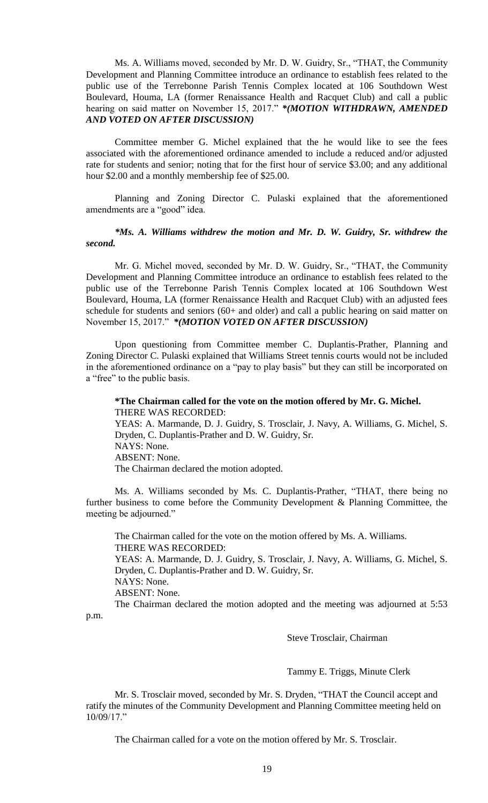Ms. A. Williams moved, seconded by Mr. D. W. Guidry, Sr., "THAT, the Community Development and Planning Committee introduce an ordinance to establish fees related to the public use of the Terrebonne Parish Tennis Complex located at 106 Southdown West Boulevard, Houma, LA (former Renaissance Health and Racquet Club) and call a public hearing on said matter on November 15, 2017." *\*(MOTION WITHDRAWN, AMENDED AND VOTED ON AFTER DISCUSSION)*

Committee member G. Michel explained that the he would like to see the fees associated with the aforementioned ordinance amended to include a reduced and/or adjusted rate for students and senior; noting that for the first hour of service \$3.00; and any additional hour \$2.00 and a monthly membership fee of \$25.00.

Planning and Zoning Director C. Pulaski explained that the aforementioned amendments are a "good" idea.

# *\*Ms. A. Williams withdrew the motion and Mr. D. W. Guidry, Sr. withdrew the second.*

Mr. G. Michel moved, seconded by Mr. D. W. Guidry, Sr., "THAT, the Community Development and Planning Committee introduce an ordinance to establish fees related to the public use of the Terrebonne Parish Tennis Complex located at 106 Southdown West Boulevard, Houma, LA (former Renaissance Health and Racquet Club) with an adjusted fees schedule for students and seniors (60+ and older) and call a public hearing on said matter on November 15, 2017." *\*(MOTION VOTED ON AFTER DISCUSSION)*

Upon questioning from Committee member C. Duplantis-Prather, Planning and Zoning Director C. Pulaski explained that Williams Street tennis courts would not be included in the aforementioned ordinance on a "pay to play basis" but they can still be incorporated on a "free" to the public basis.

#### **\*The Chairman called for the vote on the motion offered by Mr. G. Michel.** THERE WAS RECORDED:

YEAS: A. Marmande, D. J. Guidry, S. Trosclair, J. Navy, A. Williams, G. Michel, S. Dryden, C. Duplantis-Prather and D. W. Guidry, Sr. NAYS: None. ABSENT: None. The Chairman declared the motion adopted.

Ms. A. Williams seconded by Ms. C. Duplantis-Prather, "THAT, there being no further business to come before the Community Development & Planning Committee, the meeting be adjourned."

The Chairman called for the vote on the motion offered by Ms. A. Williams. THERE WAS RECORDED: YEAS: A. Marmande, D. J. Guidry, S. Trosclair, J. Navy, A. Williams, G. Michel, S. Dryden, C. Duplantis-Prather and D. W. Guidry, Sr. NAYS: None. ABSENT: None. The Chairman declared the motion adopted and the meeting was adjourned at 5:53

p.m.

# Steve Trosclair, Chairman

# Tammy E. Triggs, Minute Clerk

Mr. S. Trosclair moved, seconded by Mr. S. Dryden, "THAT the Council accept and ratify the minutes of the Community Development and Planning Committee meeting held on 10/09/17."

The Chairman called for a vote on the motion offered by Mr. S. Trosclair.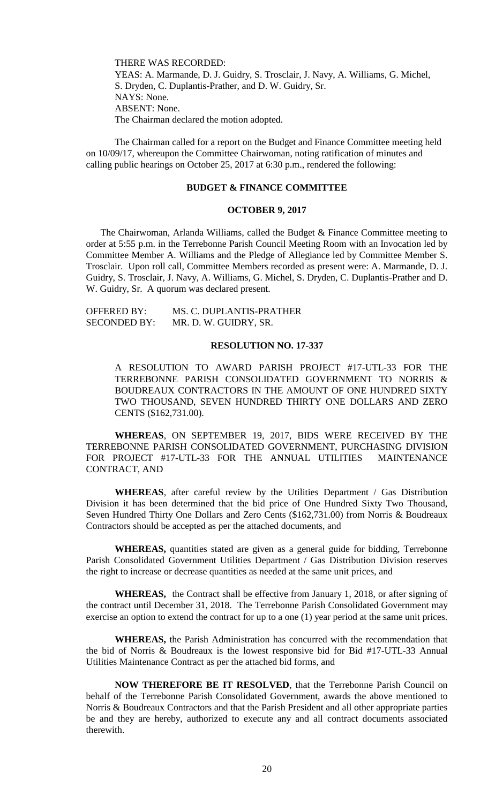THERE WAS RECORDED: YEAS: A. Marmande, D. J. Guidry, S. Trosclair, J. Navy, A. Williams, G. Michel, S. Dryden, C. Duplantis-Prather, and D. W. Guidry, Sr. NAYS: None. ABSENT: None. The Chairman declared the motion adopted.

The Chairman called for a report on the Budget and Finance Committee meeting held on 10/09/17, whereupon the Committee Chairwoman, noting ratification of minutes and calling public hearings on October 25, 2017 at 6:30 p.m., rendered the following:

## **BUDGET & FINANCE COMMITTEE**

## **OCTOBER 9, 2017**

The Chairwoman, Arlanda Williams, called the Budget & Finance Committee meeting to order at 5:55 p.m. in the Terrebonne Parish Council Meeting Room with an Invocation led by Committee Member A. Williams and the Pledge of Allegiance led by Committee Member S. Trosclair. Upon roll call, Committee Members recorded as present were: A. Marmande, D. J. Guidry, S. Trosclair, J. Navy, A. Williams, G. Michel, S. Dryden, C. Duplantis-Prather and D. W. Guidry, Sr. A quorum was declared present.

| <b>OFFERED BY:</b>  | MS. C. DUPLANTIS-PRATHER |
|---------------------|--------------------------|
| <b>SECONDED BY:</b> | MR. D. W. GUIDRY, SR.    |

#### **RESOLUTION NO. 17-337**

A RESOLUTION TO AWARD PARISH PROJECT #17-UTL-33 FOR THE TERREBONNE PARISH CONSOLIDATED GOVERNMENT TO NORRIS & BOUDREAUX CONTRACTORS IN THE AMOUNT OF ONE HUNDRED SIXTY TWO THOUSAND, SEVEN HUNDRED THIRTY ONE DOLLARS AND ZERO CENTS (\$162,731.00).

**WHEREAS**, ON SEPTEMBER 19, 2017, BIDS WERE RECEIVED BY THE TERREBONNE PARISH CONSOLIDATED GOVERNMENT, PURCHASING DIVISION FOR PROJECT #17-UTL-33 FOR THE ANNUAL UTILITIES MAINTENANCE CONTRACT, AND

**WHEREAS**, after careful review by the Utilities Department / Gas Distribution Division it has been determined that the bid price of One Hundred Sixty Two Thousand, Seven Hundred Thirty One Dollars and Zero Cents (\$162,731.00) from Norris & Boudreaux Contractors should be accepted as per the attached documents, and

**WHEREAS,** quantities stated are given as a general guide for bidding, Terrebonne Parish Consolidated Government Utilities Department / Gas Distribution Division reserves the right to increase or decrease quantities as needed at the same unit prices, and

**WHEREAS,** the Contract shall be effective from January 1, 2018, or after signing of the contract until December 31, 2018. The Terrebonne Parish Consolidated Government may exercise an option to extend the contract for up to a one (1) year period at the same unit prices.

**WHEREAS,** the Parish Administration has concurred with the recommendation that the bid of Norris & Boudreaux is the lowest responsive bid for Bid #17-UTL-33 Annual Utilities Maintenance Contract as per the attached bid forms, and

**NOW THEREFORE BE IT RESOLVED**, that the Terrebonne Parish Council on behalf of the Terrebonne Parish Consolidated Government, awards the above mentioned to Norris & Boudreaux Contractors and that the Parish President and all other appropriate parties be and they are hereby, authorized to execute any and all contract documents associated therewith.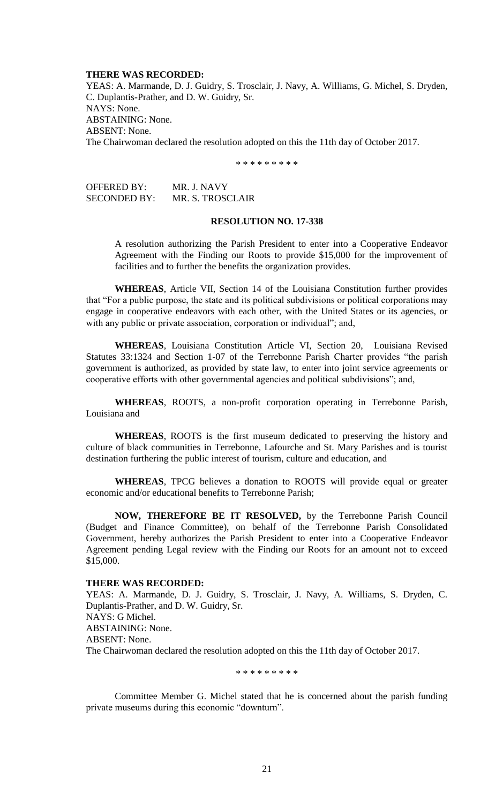#### **THERE WAS RECORDED:**

YEAS: A. Marmande, D. J. Guidry, S. Trosclair, J. Navy, A. Williams, G. Michel, S. Dryden, C. Duplantis-Prather, and D. W. Guidry, Sr. NAYS: None. ABSTAINING: None. ABSENT: None. The Chairwoman declared the resolution adopted on this the 11th day of October 2017.

\* \* \* \* \* \* \* \* \*

OFFERED BY: MR. J. NAVY SECONDED BY: MR. S. TROSCLAIR

#### **RESOLUTION NO. 17-338**

A resolution authorizing the Parish President to enter into a Cooperative Endeavor Agreement with the Finding our Roots to provide \$15,000 for the improvement of facilities and to further the benefits the organization provides.

**WHEREAS**, Article VII, Section 14 of the Louisiana Constitution further provides that "For a public purpose, the state and its political subdivisions or political corporations may engage in cooperative endeavors with each other, with the United States or its agencies, or with any public or private association, corporation or individual"; and,

**WHEREAS**, Louisiana Constitution Article VI, Section 20, Louisiana Revised Statutes 33:1324 and Section 1-07 of the Terrebonne Parish Charter provides "the parish government is authorized, as provided by state law, to enter into joint service agreements or cooperative efforts with other governmental agencies and political subdivisions"; and,

**WHEREAS**, ROOTS, a non-profit corporation operating in Terrebonne Parish, Louisiana and

**WHEREAS**, ROOTS is the first museum dedicated to preserving the history and culture of black communities in Terrebonne, Lafourche and St. Mary Parishes and is tourist destination furthering the public interest of tourism, culture and education, and

**WHEREAS**, TPCG believes a donation to ROOTS will provide equal or greater economic and/or educational benefits to Terrebonne Parish;

**NOW, THEREFORE BE IT RESOLVED,** by the Terrebonne Parish Council (Budget and Finance Committee), on behalf of the Terrebonne Parish Consolidated Government, hereby authorizes the Parish President to enter into a Cooperative Endeavor Agreement pending Legal review with the Finding our Roots for an amount not to exceed \$15,000.

#### **THERE WAS RECORDED:**

YEAS: A. Marmande, D. J. Guidry, S. Trosclair, J. Navy, A. Williams, S. Dryden, C. Duplantis-Prather, and D. W. Guidry, Sr. NAYS: G Michel. ABSTAINING: None. ABSENT: None. The Chairwoman declared the resolution adopted on this the 11th day of October 2017.

\* \* \* \* \* \* \* \* \*

Committee Member G. Michel stated that he is concerned about the parish funding private museums during this economic "downturn".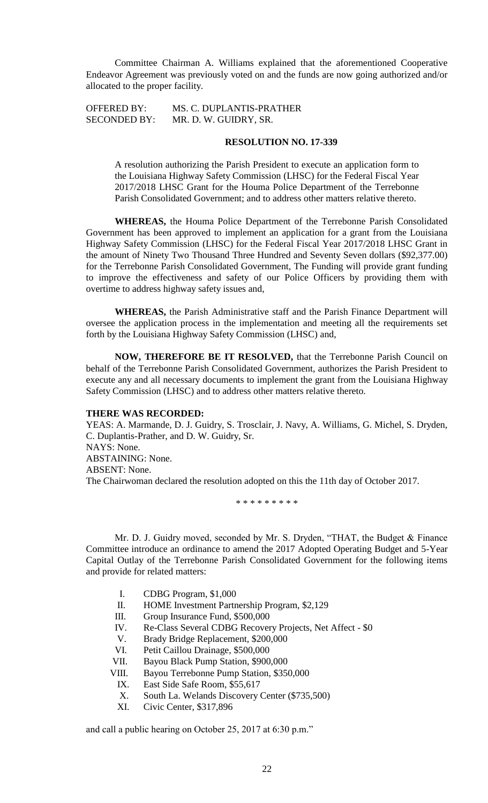Committee Chairman A. Williams explained that the aforementioned Cooperative Endeavor Agreement was previously voted on and the funds are now going authorized and/or allocated to the proper facility.

SECONDED BY: MR. D. W. GUIDRY, SR.

OFFERED BY: MS. C. DUPLANTIS-PRATHER

# **RESOLUTION NO. 17-339**

A resolution authorizing the Parish President to execute an application form to the Louisiana Highway Safety Commission (LHSC) for the Federal Fiscal Year 2017/2018 LHSC Grant for the Houma Police Department of the Terrebonne Parish Consolidated Government; and to address other matters relative thereto.

**WHEREAS,** the Houma Police Department of the Terrebonne Parish Consolidated Government has been approved to implement an application for a grant from the Louisiana Highway Safety Commission (LHSC) for the Federal Fiscal Year 2017/2018 LHSC Grant in the amount of Ninety Two Thousand Three Hundred and Seventy Seven dollars (\$92,377.00) for the Terrebonne Parish Consolidated Government, The Funding will provide grant funding to improve the effectiveness and safety of our Police Officers by providing them with overtime to address highway safety issues and,

**WHEREAS,** the Parish Administrative staff and the Parish Finance Department will oversee the application process in the implementation and meeting all the requirements set forth by the Louisiana Highway Safety Commission (LHSC) and,

**NOW, THEREFORE BE IT RESOLVED,** that the Terrebonne Parish Council on behalf of the Terrebonne Parish Consolidated Government, authorizes the Parish President to execute any and all necessary documents to implement the grant from the Louisiana Highway Safety Commission (LHSC) and to address other matters relative thereto.

#### **THERE WAS RECORDED:**

YEAS: A. Marmande, D. J. Guidry, S. Trosclair, J. Navy, A. Williams, G. Michel, S. Dryden, C. Duplantis-Prather, and D. W. Guidry, Sr. NAYS: None. ABSTAINING: None. ABSENT: None. The Chairwoman declared the resolution adopted on this the 11th day of October 2017.

\* \* \* \* \* \* \* \* \*

Mr. D. J. Guidry moved, seconded by Mr. S. Dryden, "THAT, the Budget & Finance Committee introduce an ordinance to amend the 2017 Adopted Operating Budget and 5-Year Capital Outlay of the Terrebonne Parish Consolidated Government for the following items and provide for related matters:

- I. CDBG Program, \$1,000
- II. HOME Investment Partnership Program, \$2,129
- III. Group Insurance Fund, \$500,000
- IV. Re-Class Several CDBG Recovery Projects, Net Affect \$0
- V. Brady Bridge Replacement, \$200,000
- VI. Petit Caillou Drainage, \$500,000
- VII. Bayou Black Pump Station, \$900,000
- VIII. Bayou Terrebonne Pump Station, \$350,000
	- IX. East Side Safe Room, \$55,617
	- X. South La. Welands Discovery Center (\$735,500)
	- XI. Civic Center, \$317,896

and call a public hearing on October 25, 2017 at 6:30 p.m."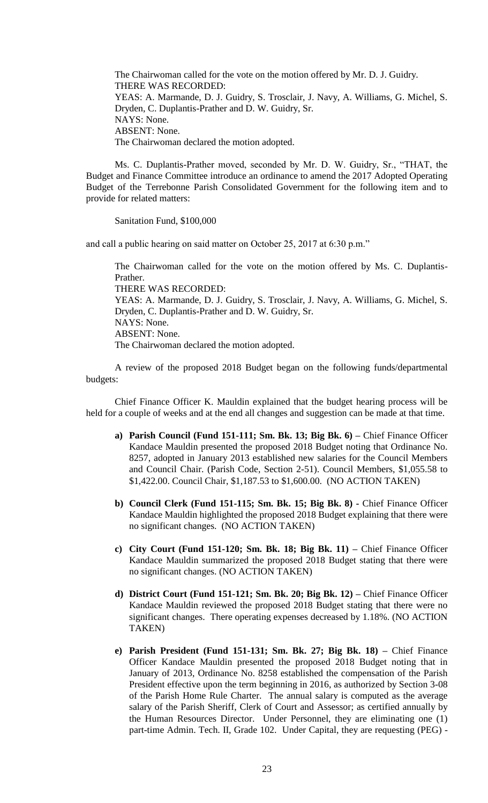The Chairwoman called for the vote on the motion offered by Mr. D. J. Guidry. THERE WAS RECORDED: YEAS: A. Marmande, D. J. Guidry, S. Trosclair, J. Navy, A. Williams, G. Michel, S. Dryden, C. Duplantis-Prather and D. W. Guidry, Sr. NAYS: None. ABSENT: None. The Chairwoman declared the motion adopted.

Ms. C. Duplantis-Prather moved, seconded by Mr. D. W. Guidry, Sr., "THAT, the Budget and Finance Committee introduce an ordinance to amend the 2017 Adopted Operating Budget of the Terrebonne Parish Consolidated Government for the following item and to provide for related matters:

Sanitation Fund, \$100,000

and call a public hearing on said matter on October 25, 2017 at 6:30 p.m."

The Chairwoman called for the vote on the motion offered by Ms. C. Duplantis-Prather. THERE WAS RECORDED: YEAS: A. Marmande, D. J. Guidry, S. Trosclair, J. Navy, A. Williams, G. Michel, S. Dryden, C. Duplantis-Prather and D. W. Guidry, Sr. NAYS: None. ABSENT: None. The Chairwoman declared the motion adopted.

A review of the proposed 2018 Budget began on the following funds/departmental budgets:

Chief Finance Officer K. Mauldin explained that the budget hearing process will be held for a couple of weeks and at the end all changes and suggestion can be made at that time.

- **a) Parish Council (Fund 151-111; Sm. Bk. 13; Big Bk. 6) –** Chief Finance Officer Kandace Mauldin presented the proposed 2018 Budget noting that Ordinance No. 8257, adopted in January 2013 established new salaries for the Council Members and Council Chair. (Parish Code, Section 2-51). Council Members, \$1,055.58 to \$1,422.00. Council Chair, \$1,187.53 to \$1,600.00. (NO ACTION TAKEN)
- **b) Council Clerk (Fund 151-115; Sm. Bk. 15; Big Bk. 8) -** Chief Finance Officer Kandace Mauldin highlighted the proposed 2018 Budget explaining that there were no significant changes. (NO ACTION TAKEN)
- **c) City Court (Fund 151-120; Sm. Bk. 18; Big Bk. 11) –** Chief Finance Officer Kandace Mauldin summarized the proposed 2018 Budget stating that there were no significant changes. (NO ACTION TAKEN)
- **d) District Court (Fund 151-121; Sm. Bk. 20; Big Bk. 12) –** Chief Finance Officer Kandace Mauldin reviewed the proposed 2018 Budget stating that there were no significant changes. There operating expenses decreased by 1.18%. (NO ACTION TAKEN)
- **e) Parish President (Fund 151-131; Sm. Bk. 27; Big Bk. 18) –** Chief Finance Officer Kandace Mauldin presented the proposed 2018 Budget noting that in January of 2013, Ordinance No. 8258 established the compensation of the Parish President effective upon the term beginning in 2016, as authorized by Section 3-08 of the Parish Home Rule Charter. The annual salary is computed as the average salary of the Parish Sheriff, Clerk of Court and Assessor; as certified annually by the Human Resources Director. Under Personnel, they are eliminating one (1) part-time Admin. Tech. II, Grade 102. Under Capital, they are requesting (PEG) -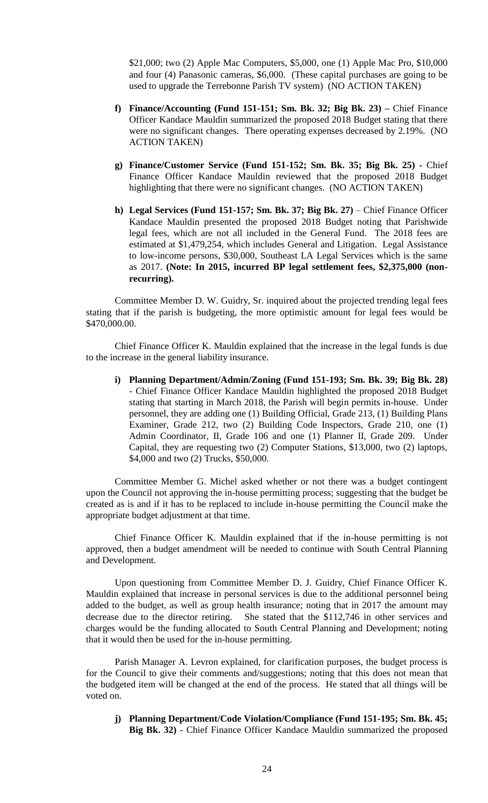\$21,000; two (2) Apple Mac Computers, \$5,000, one (1) Apple Mac Pro, \$10,000 and four (4) Panasonic cameras, \$6,000. (These capital purchases are going to be used to upgrade the Terrebonne Parish TV system) (NO ACTION TAKEN)

- **f) Finance/Accounting (Fund 151-151; Sm. Bk. 32; Big Bk. 23) –** Chief Finance Officer Kandace Mauldin summarized the proposed 2018 Budget stating that there were no significant changes. There operating expenses decreased by 2.19%. (NO ACTION TAKEN)
- **g) Finance/Customer Service (Fund 151-152; Sm. Bk. 35; Big Bk. 25) -** Chief Finance Officer Kandace Mauldin reviewed that the proposed 2018 Budget highlighting that there were no significant changes. (NO ACTION TAKEN)
- **h) Legal Services (Fund 151-157; Sm. Bk. 37; Big Bk. 27)** Chief Finance Officer Kandace Mauldin presented the proposed 2018 Budget noting that Parishwide legal fees, which are not all included in the General Fund. The 2018 fees are estimated at \$1,479,254, which includes General and Litigation. Legal Assistance to low-income persons, \$30,000, Southeast LA Legal Services which is the same as 2017. **(Note: In 2015, incurred BP legal settlement fees, \$2,375,000 (nonrecurring).**

Committee Member D. W. Guidry, Sr. inquired about the projected trending legal fees stating that if the parish is budgeting, the more optimistic amount for legal fees would be \$470,000.00.

Chief Finance Officer K. Mauldin explained that the increase in the legal funds is due to the increase in the general liability insurance.

**i) Planning Department/Admin/Zoning (Fund 151-193; Sm. Bk. 39; Big Bk. 28)**  - Chief Finance Officer Kandace Mauldin highlighted the proposed 2018 Budget stating that starting in March 2018, the Parish will begin permits in-house. Under personnel, they are adding one (1) Building Official, Grade 213, (1) Building Plans Examiner, Grade 212, two (2) Building Code Inspectors, Grade 210, one (1) Admin Coordinator, II, Grade 106 and one (1) Planner II, Grade 209. Under Capital, they are requesting two (2) Computer Stations, \$13,000, two (2) laptops, \$4,000 and two (2) Trucks, \$50,000.

Committee Member G. Michel asked whether or not there was a budget contingent upon the Council not approving the in-house permitting process; suggesting that the budget be created as is and if it has to be replaced to include in-house permitting the Council make the appropriate budget adjustment at that time.

Chief Finance Officer K. Mauldin explained that if the in-house permitting is not approved, then a budget amendment will be needed to continue with South Central Planning and Development.

Upon questioning from Committee Member D. J. Guidry, Chief Finance Officer K. Mauldin explained that increase in personal services is due to the additional personnel being added to the budget, as well as group health insurance; noting that in 2017 the amount may decrease due to the director retiring. She stated that the \$112,746 in other services and charges would be the funding allocated to South Central Planning and Development; noting that it would then be used for the in-house permitting.

Parish Manager A. Levron explained, for clarification purposes, the budget process is for the Council to give their comments and/suggestions; noting that this does not mean that the budgeted item will be changed at the end of the process. He stated that all things will be voted on.

**j) Planning Department/Code Violation/Compliance (Fund 151-195; Sm. Bk. 45; Big Bk. 32)** - Chief Finance Officer Kandace Mauldin summarized the proposed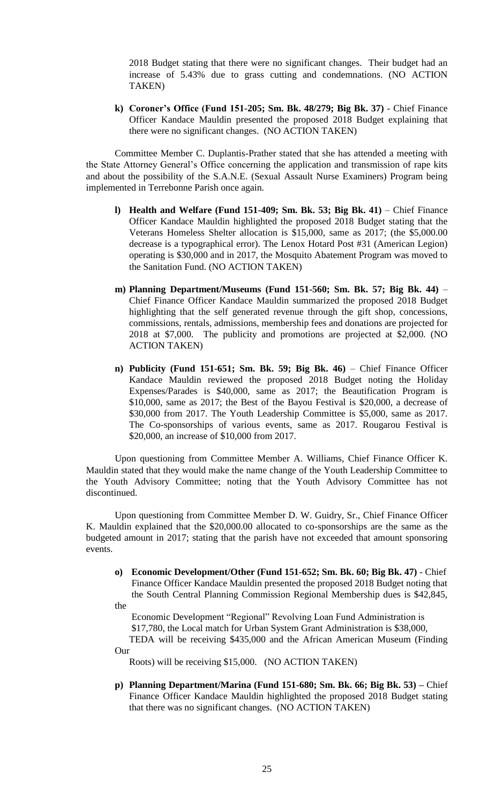2018 Budget stating that there were no significant changes. Their budget had an increase of 5.43% due to grass cutting and condemnations. (NO ACTION TAKEN)

**k) Coroner's Office (Fund 151-205; Sm. Bk. 48/279; Big Bk. 37)** - Chief Finance Officer Kandace Mauldin presented the proposed 2018 Budget explaining that there were no significant changes. (NO ACTION TAKEN)

Committee Member C. Duplantis-Prather stated that she has attended a meeting with the State Attorney General's Office concerning the application and transmission of rape kits and about the possibility of the S.A.N.E. (Sexual Assault Nurse Examiners) Program being implemented in Terrebonne Parish once again.

- **l) Health and Welfare (Fund 151-409; Sm. Bk. 53; Big Bk. 41)** Chief Finance Officer Kandace Mauldin highlighted the proposed 2018 Budget stating that the Veterans Homeless Shelter allocation is \$15,000, same as 2017; (the \$5,000.00 decrease is a typographical error). The Lenox Hotard Post #31 (American Legion) operating is \$30,000 and in 2017, the Mosquito Abatement Program was moved to the Sanitation Fund. (NO ACTION TAKEN)
- **m) Planning Department/Museums (Fund 151-560; Sm. Bk. 57; Big Bk. 44)** Chief Finance Officer Kandace Mauldin summarized the proposed 2018 Budget highlighting that the self generated revenue through the gift shop, concessions, commissions, rentals, admissions, membership fees and donations are projected for 2018 at \$7,000. The publicity and promotions are projected at \$2,000. (NO ACTION TAKEN)
- **n) Publicity (Fund 151-651; Sm. Bk. 59; Big Bk. 46)** Chief Finance Officer Kandace Mauldin reviewed the proposed 2018 Budget noting the Holiday Expenses/Parades is \$40,000, same as 2017; the Beautification Program is \$10,000, same as 2017; the Best of the Bayou Festival is \$20,000, a decrease of \$30,000 from 2017. The Youth Leadership Committee is \$5,000, same as 2017. The Co-sponsorships of various events, same as 2017. Rougarou Festival is \$20,000, an increase of \$10,000 from 2017.

Upon questioning from Committee Member A. Williams, Chief Finance Officer K. Mauldin stated that they would make the name change of the Youth Leadership Committee to the Youth Advisory Committee; noting that the Youth Advisory Committee has not discontinued.

Upon questioning from Committee Member D. W. Guidry, Sr., Chief Finance Officer K. Mauldin explained that the \$20,000.00 allocated to co-sponsorships are the same as the budgeted amount in 2017; stating that the parish have not exceeded that amount sponsoring events.

**o) Economic Development/Other (Fund 151-652; Sm. Bk. 60; Big Bk. 47)** - Chief Finance Officer Kandace Mauldin presented the proposed 2018 Budget noting that the South Central Planning Commission Regional Membership dues is \$42,845, the

 Economic Development "Regional" Revolving Loan Fund Administration is \$17,780, the Local match for Urban System Grant Administration is \$38,000,

 TEDA will be receiving \$435,000 and the African American Museum (Finding Our

Roots) will be receiving \$15,000. (NO ACTION TAKEN)

**p) Planning Department/Marina (Fund 151-680; Sm. Bk. 66; Big Bk. 53) –** Chief Finance Officer Kandace Mauldin highlighted the proposed 2018 Budget stating that there was no significant changes. (NO ACTION TAKEN)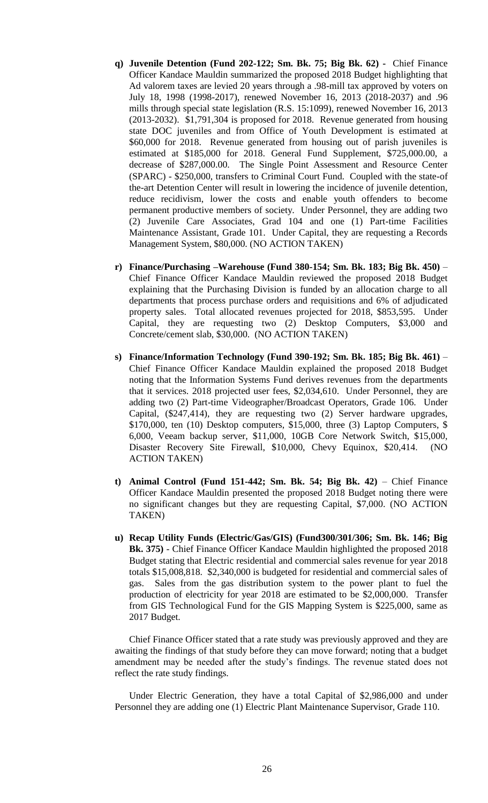- **q) Juvenile Detention (Fund 202-122; Sm. Bk. 75; Big Bk. 62) -** Chief Finance Officer Kandace Mauldin summarized the proposed 2018 Budget highlighting that Ad valorem taxes are levied 20 years through a .98-mill tax approved by voters on July 18, 1998 (1998-2017), renewed November 16, 2013 (2018-2037) and .96 mills through special state legislation (R.S. 15:1099), renewed November 16, 2013 (2013-2032). \$1,791,304 is proposed for 2018. Revenue generated from housing state DOC juveniles and from Office of Youth Development is estimated at \$60,000 for 2018. Revenue generated from housing out of parish juveniles is estimated at \$185,000 for 2018. General Fund Supplement, \$725,000.00, a decrease of \$287,000.00. The Single Point Assessment and Resource Center (SPARC) - \$250,000, transfers to Criminal Court Fund. Coupled with the state-of the-art Detention Center will result in lowering the incidence of juvenile detention, reduce recidivism, lower the costs and enable youth offenders to become permanent productive members of society. Under Personnel, they are adding two (2) Juvenile Care Associates, Grad 104 and one (1) Part-time Facilities Maintenance Assistant, Grade 101. Under Capital, they are requesting a Records Management System, \$80,000. (NO ACTION TAKEN)
- **r) Finance/Purchasing –Warehouse (Fund 380-154; Sm. Bk. 183; Big Bk. 450)** Chief Finance Officer Kandace Mauldin reviewed the proposed 2018 Budget explaining that the Purchasing Division is funded by an allocation charge to all departments that process purchase orders and requisitions and 6% of adjudicated property sales. Total allocated revenues projected for 2018, \$853,595. Under Capital, they are requesting two (2) Desktop Computers, \$3,000 and Concrete/cement slab, \$30,000. (NO ACTION TAKEN)
- **s) Finance/Information Technology (Fund 390-192; Sm. Bk. 185; Big Bk. 461)** Chief Finance Officer Kandace Mauldin explained the proposed 2018 Budget noting that the Information Systems Fund derives revenues from the departments that it services. 2018 projected user fees, \$2,034,610. Under Personnel, they are adding two (2) Part-time Videographer/Broadcast Operators, Grade 106. Under Capital, (\$247,414), they are requesting two (2) Server hardware upgrades, \$170,000, ten (10) Desktop computers, \$15,000, three (3) Laptop Computers, \$ 6,000, Veeam backup server, \$11,000, 10GB Core Network Switch, \$15,000, Disaster Recovery Site Firewall, \$10,000, Chevy Equinox, \$20,414. (NO ACTION TAKEN)
- **t) Animal Control (Fund 151-442; Sm. Bk. 54; Big Bk. 42)** Chief Finance Officer Kandace Mauldin presented the proposed 2018 Budget noting there were no significant changes but they are requesting Capital, \$7,000. (NO ACTION TAKEN)
- **u) Recap Utility Funds (Electric/Gas/GIS) (Fund300/301/306; Sm. Bk. 146; Big Bk. 375)** - Chief Finance Officer Kandace Mauldin highlighted the proposed 2018 Budget stating that Electric residential and commercial sales revenue for year 2018 totals \$15,008,818. \$2,340,000 is budgeted for residential and commercial sales of gas. Sales from the gas distribution system to the power plant to fuel the production of electricity for year 2018 are estimated to be \$2,000,000. Transfer from GIS Technological Fund for the GIS Mapping System is \$225,000, same as 2017 Budget.

Chief Finance Officer stated that a rate study was previously approved and they are awaiting the findings of that study before they can move forward; noting that a budget amendment may be needed after the study's findings. The revenue stated does not reflect the rate study findings.

Under Electric Generation, they have a total Capital of \$2,986,000 and under Personnel they are adding one (1) Electric Plant Maintenance Supervisor, Grade 110.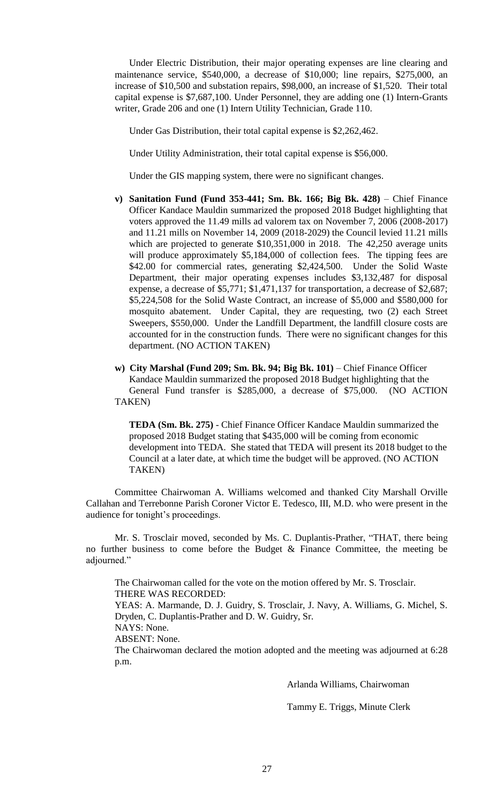Under Electric Distribution, their major operating expenses are line clearing and maintenance service, \$540,000, a decrease of \$10,000; line repairs, \$275,000, an increase of \$10,500 and substation repairs, \$98,000, an increase of \$1,520. Their total capital expense is \$7,687,100. Under Personnel, they are adding one (1) Intern-Grants writer, Grade 206 and one (1) Intern Utility Technician, Grade 110.

Under Gas Distribution, their total capital expense is \$2,262,462.

Under Utility Administration, their total capital expense is \$56,000.

Under the GIS mapping system, there were no significant changes.

- **v) Sanitation Fund (Fund 353-441; Sm. Bk. 166; Big Bk. 428)** Chief Finance Officer Kandace Mauldin summarized the proposed 2018 Budget highlighting that voters approved the 11.49 mills ad valorem tax on November 7, 2006 (2008-2017) and 11.21 mills on November 14, 2009 (2018-2029) the Council levied 11.21 mills which are projected to generate \$10,351,000 in 2018. The 42,250 average units will produce approximately \$5,184,000 of collection fees. The tipping fees are \$42.00 for commercial rates, generating \$2,424,500. Under the Solid Waste Department, their major operating expenses includes \$3,132,487 for disposal expense, a decrease of \$5,771; \$1,471,137 for transportation, a decrease of \$2,687; \$5,224,508 for the Solid Waste Contract, an increase of \$5,000 and \$580,000 for mosquito abatement. Under Capital, they are requesting, two (2) each Street Sweepers, \$550,000. Under the Landfill Department, the landfill closure costs are accounted for in the construction funds. There were no significant changes for this department. (NO ACTION TAKEN)
- **w) City Marshal (Fund 209; Sm. Bk. 94; Big Bk. 101)** Chief Finance Officer Kandace Mauldin summarized the proposed 2018 Budget highlighting that the General Fund transfer is \$285,000, a decrease of \$75,000. (NO ACTION TAKEN)

 **TEDA (Sm. Bk. 275)** - Chief Finance Officer Kandace Mauldin summarized the proposed 2018 Budget stating that \$435,000 will be coming from economic development into TEDA. She stated that TEDA will present its 2018 budget to the Council at a later date, at which time the budget will be approved. (NO ACTION TAKEN)

Committee Chairwoman A. Williams welcomed and thanked City Marshall Orville Callahan and Terrebonne Parish Coroner Victor E. Tedesco, III, M.D. who were present in the audience for tonight's proceedings.

Mr. S. Trosclair moved, seconded by Ms. C. Duplantis-Prather, "THAT, there being no further business to come before the Budget  $\&$  Finance Committee, the meeting be adjourned."

The Chairwoman called for the vote on the motion offered by Mr. S. Trosclair. THERE WAS RECORDED: YEAS: A. Marmande, D. J. Guidry, S. Trosclair, J. Navy, A. Williams, G. Michel, S. Dryden, C. Duplantis-Prather and D. W. Guidry, Sr. NAYS: None. ABSENT: None. The Chairwoman declared the motion adopted and the meeting was adjourned at 6:28 p.m.

Arlanda Williams, Chairwoman

Tammy E. Triggs, Minute Clerk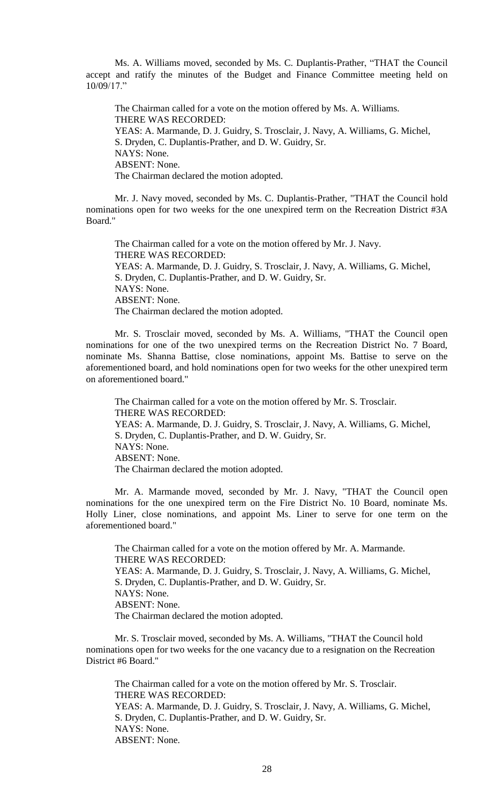Ms. A. Williams moved, seconded by Ms. C. Duplantis-Prather, "THAT the Council accept and ratify the minutes of the Budget and Finance Committee meeting held on 10/09/17."

The Chairman called for a vote on the motion offered by Ms. A. Williams. THERE WAS RECORDED: YEAS: A. Marmande, D. J. Guidry, S. Trosclair, J. Navy, A. Williams, G. Michel, S. Dryden, C. Duplantis-Prather, and D. W. Guidry, Sr. NAYS: None. ABSENT: None. The Chairman declared the motion adopted.

Mr. J. Navy moved, seconded by Ms. C. Duplantis-Prather, "THAT the Council hold nominations open for two weeks for the one unexpired term on the Recreation District #3A Board."

The Chairman called for a vote on the motion offered by Mr. J. Navy. THERE WAS RECORDED: YEAS: A. Marmande, D. J. Guidry, S. Trosclair, J. Navy, A. Williams, G. Michel, S. Dryden, C. Duplantis-Prather, and D. W. Guidry, Sr. NAYS: None. ABSENT: None. The Chairman declared the motion adopted.

Mr. S. Trosclair moved, seconded by Ms. A. Williams, "THAT the Council open nominations for one of the two unexpired terms on the Recreation District No. 7 Board, nominate Ms. Shanna Battise, close nominations, appoint Ms. Battise to serve on the aforementioned board, and hold nominations open for two weeks for the other unexpired term on aforementioned board."

The Chairman called for a vote on the motion offered by Mr. S. Trosclair. THERE WAS RECORDED: YEAS: A. Marmande, D. J. Guidry, S. Trosclair, J. Navy, A. Williams, G. Michel, S. Dryden, C. Duplantis-Prather, and D. W. Guidry, Sr. NAYS: None. ABSENT: None. The Chairman declared the motion adopted.

Mr. A. Marmande moved, seconded by Mr. J. Navy, "THAT the Council open nominations for the one unexpired term on the Fire District No. 10 Board, nominate Ms. Holly Liner, close nominations, and appoint Ms. Liner to serve for one term on the aforementioned board."

The Chairman called for a vote on the motion offered by Mr. A. Marmande. THERE WAS RECORDED: YEAS: A. Marmande, D. J. Guidry, S. Trosclair, J. Navy, A. Williams, G. Michel, S. Dryden, C. Duplantis-Prather, and D. W. Guidry, Sr. NAYS: None. ABSENT: None. The Chairman declared the motion adopted.

Mr. S. Trosclair moved, seconded by Ms. A. Williams, "THAT the Council hold nominations open for two weeks for the one vacancy due to a resignation on the Recreation District #6 Board."

The Chairman called for a vote on the motion offered by Mr. S. Trosclair. THERE WAS RECORDED: YEAS: A. Marmande, D. J. Guidry, S. Trosclair, J. Navy, A. Williams, G. Michel, S. Dryden, C. Duplantis-Prather, and D. W. Guidry, Sr. NAYS: None. ABSENT: None.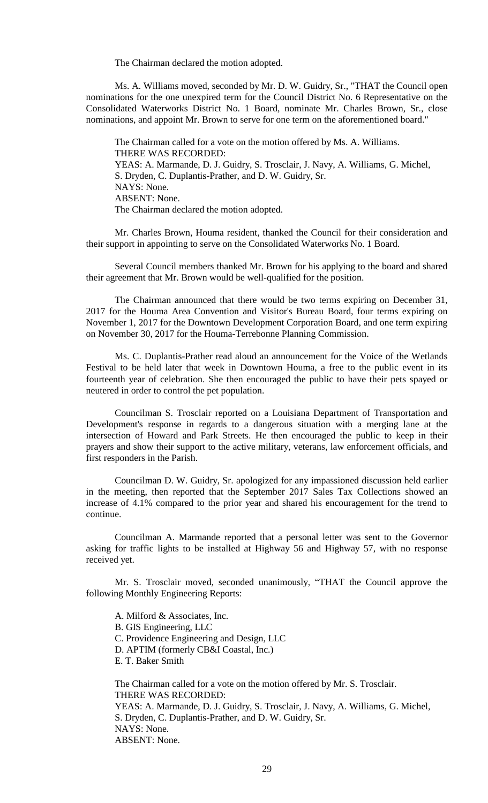The Chairman declared the motion adopted.

Ms. A. Williams moved, seconded by Mr. D. W. Guidry, Sr., "THAT the Council open nominations for the one unexpired term for the Council District No. 6 Representative on the Consolidated Waterworks District No. 1 Board, nominate Mr. Charles Brown, Sr., close nominations, and appoint Mr. Brown to serve for one term on the aforementioned board."

The Chairman called for a vote on the motion offered by Ms. A. Williams. THERE WAS RECORDED: YEAS: A. Marmande, D. J. Guidry, S. Trosclair, J. Navy, A. Williams, G. Michel, S. Dryden, C. Duplantis-Prather, and D. W. Guidry, Sr. NAYS: None. ABSENT: None. The Chairman declared the motion adopted.

Mr. Charles Brown, Houma resident, thanked the Council for their consideration and their support in appointing to serve on the Consolidated Waterworks No. 1 Board.

Several Council members thanked Mr. Brown for his applying to the board and shared their agreement that Mr. Brown would be well-qualified for the position.

The Chairman announced that there would be two terms expiring on December 31, 2017 for the Houma Area Convention and Visitor's Bureau Board, four terms expiring on November 1, 2017 for the Downtown Development Corporation Board, and one term expiring on November 30, 2017 for the Houma-Terrebonne Planning Commission.

Ms. C. Duplantis-Prather read aloud an announcement for the Voice of the Wetlands Festival to be held later that week in Downtown Houma, a free to the public event in its fourteenth year of celebration. She then encouraged the public to have their pets spayed or neutered in order to control the pet population.

Councilman S. Trosclair reported on a Louisiana Department of Transportation and Development's response in regards to a dangerous situation with a merging lane at the intersection of Howard and Park Streets. He then encouraged the public to keep in their prayers and show their support to the active military, veterans, law enforcement officials, and first responders in the Parish.

Councilman D. W. Guidry, Sr. apologized for any impassioned discussion held earlier in the meeting, then reported that the September 2017 Sales Tax Collections showed an increase of 4.1% compared to the prior year and shared his encouragement for the trend to continue.

Councilman A. Marmande reported that a personal letter was sent to the Governor asking for traffic lights to be installed at Highway 56 and Highway 57, with no response received yet.

Mr. S. Trosclair moved, seconded unanimously, "THAT the Council approve the following Monthly Engineering Reports:

A. Milford & Associates, Inc. B. GIS Engineering, LLC C. Providence Engineering and Design, LLC D. APTIM (formerly CB&I Coastal, Inc.) E. T. Baker Smith

The Chairman called for a vote on the motion offered by Mr. S. Trosclair. THERE WAS RECORDED: YEAS: A. Marmande, D. J. Guidry, S. Trosclair, J. Navy, A. Williams, G. Michel, S. Dryden, C. Duplantis-Prather, and D. W. Guidry, Sr. NAYS: None. ABSENT: None.